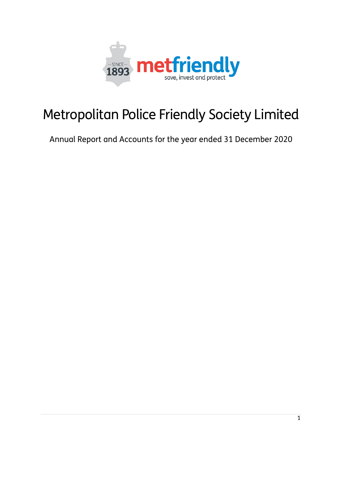

# Metropolitan Police Friendly Society Limited

Annual Report and Accounts for the year ended 31 December 2020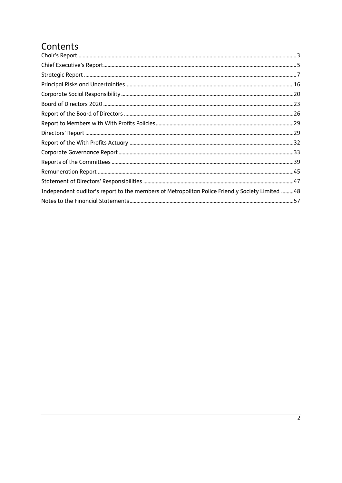## Contents

| Independent auditor's report to the members of Metropolitan Police Friendly Society Limited 48 |  |
|------------------------------------------------------------------------------------------------|--|
|                                                                                                |  |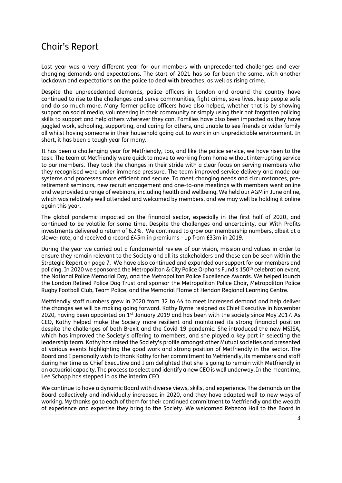## <span id="page-2-0"></span>Chair's Report

Last year was a very different year for our members with unprecedented challenges and ever changing demands and expectations. The start of 2021 has so far been the same, with another lockdown and expectations on the police to deal with breaches, as well as rising crime.

Despite the unprecedented demands, police officers in London and around the country have continued to rise to the challenges and serve communities, fight crime, save lives, keep people safe and do so much more. Many former police officers have also helped, whether that is by showing support on social media, volunteering in their community or simply using their not forgotten policing skills to support and help others wherever they can. Families have also been impacted as they have juggled work, schooling, supporting, and caring for others, and unable to see friends or wider family all whilst having someone in their household going out to work in an unpredictable environment. In short, it has been a tough year for many.

It has been a challenging year for Metfriendly, too, and like the police service, we have risen to the task. The team at Metfriendly were quick to move to working from home without interrupting service to our members. They took the changes in their stride with a clear focus on serving members who they recognised were under immense pressure. The team improved service delivery and made our systems and processes more efficient and secure. To meet changing needs and circumstances, preretirement seminars, new recruit engagement and one-to-one meetings with members went online and we provided a range of webinars, including health and wellbeing. We held our AGM in June online, which was relatively well attended and welcomed by members, and we may well be holding it online again this year.

The global pandemic impacted on the financial sector, especially in the first half of 2020, and continued to be volatile for some time. Despite the challenges and uncertainty, our With Profits investments delivered a return of 6.2%. We continued to grow our membership numbers, albeit at a slower rate, and received a record £45m in premiums - up from £33m in 2019.

During the year we carried out a fundamental review of our vision, mission and values in order to ensure they remain relevant to the Society and all its stakeholders and these can be seen within the Strategic Report on page 7. We have also continued and expanded our support for our members and policing. In 2020 we sponsored the Metropolitan & City Police Orphans Fund's 150th celebration event, the National Police Memorial Day, and the Metropolitan Police Excellence Awards. We helped launch the London Retired Police Dog Trust and sponsor the Metropolitan Police Choir, Metropolitan Police Rugby Football Club, Team Police, and the Memorial Flame at Hendon Regional Learning Centre.

Metfriendly staff numbers grew in 2020 from 32 to 44 to meet increased demand and help deliver the changes we will be making going forward. Kathy Byrne resigned as Chief Executive in November 2020, having been appointed on  $1<sup>st</sup>$  January 2019 and has been with the society since May 2017. As CEO, Kathy helped make the Society more resilient and maintained its strong financial position despite the challenges of both Brexit and the Covid-19 pandemic. She introduced the new MSISA, which has improved the Society's offering to members, and she played a key part in selecting the leadership team. Kathy has raised the Society's profile amongst other Mutual societies and presented at various events highlighting the good work and strong position of Metfriendly in the sector. The Board and I personally wish to thank Kathy for her commitment to Metfriendly, its members and staff during her time as Chief Executive and I am delighted that she is going to remain with Metfriendly in an actuarial capacity. The process to select and identify a new CEO is well underway. In the meantime, Lee Schopp has stepped in as the interim CEO.

We continue to have a dynamic Board with diverse views, skills, and experience. The demands on the Board collectively and individually increased in 2020, and they have adapted well to new ways of working. My thanks go to each of them for their continued commitment to Metfriendly and the wealth of experience and expertise they bring to the Society. We welcomed Rebecca Hall to the Board in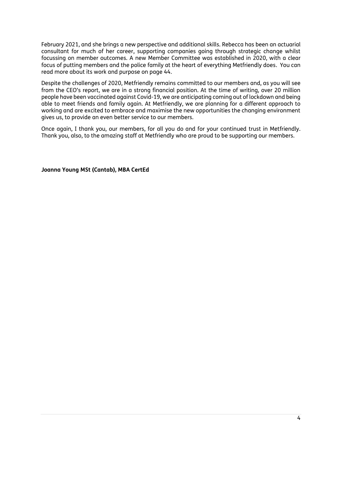February 2021, and she brings a new perspective and additional skills. Rebecca has been an actuarial consultant for much of her career, supporting companies going through strategic change whilst focussing on member outcomes. A new Member Committee was established in 2020, with a clear focus of putting members and the police family at the heart of everything Metfriendly does. You can read more about its work and purpose on page 44.

Despite the challenges of 2020, Metfriendly remains committed to our members and, as you will see from the CEO's report, we are in a strong financial position. At the time of writing, over 20 million people have been vaccinated against Covid-19, we are anticipating coming out of lockdown and being able to meet friends and family again. At Metfriendly, we are planning for a different approach to working and are excited to embrace and maximise the new opportunities the changing environment gives us, to provide an even better service to our members.

Once again, I thank you, our members, for all you do and for your continued trust in Metfriendly. Thank you, also, to the amazing staff at Metfriendly who are proud to be supporting our members.

**Joanna Young MSt (Cantab), MBA CertEd**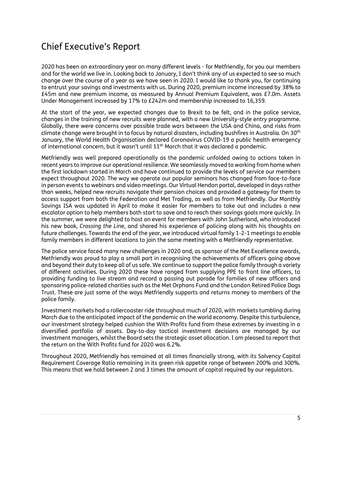## <span id="page-4-0"></span>Chief Executive's Report

2020 has been an extraordinary year on many different levels - for Metfriendly, for you our members and for the world we live in. Looking back to January, I don't think any of us expected to see so much change over the course of a year as we have seen in 2020. I would like to thank you, for continuing to entrust your savings and investments with us. During 2020, premium income increased by 38% to £45m and new premium income, as measured by Annual Premium Equivalent, was £7.0m. Assets Under Management increased by 17% to £242m and membership increased to 16,359.

At the start of the year, we expected changes due to Brexit to be felt, and in the police service, changes in the training of new recruits were planned, with a new University-style entry programme. Globally, there were concerns over possible trade wars between the USA and China, and risks from climate change were brought in to focus by natural disasters, including bushfires in Australia. On 30th January, the World Health Organisation declared Coronavirus COVID-19 a public health emergency of international concern, but it wasn't until 11th March that it was declared a pandemic.

Metfriendly was well prepared operationally as the pandemic unfolded owing to actions taken in recent years to improve our operational resilience. We seamlessly moved to working from home when the first lockdown started in March and have continued to provide the levels of service our members expect throughout 2020. The way we operate our popular seminars has changed from face-to-face in person events to webinars and video meetings. Our Virtual Hendon portal, developed in days rather than weeks, helped new recruits navigate their pension choices and provided a gateway for them to access support from both the Federation and Met Trading, as well as from Metfriendly. Our Monthly Savings ISA was updated in April to make it easier for members to take out and includes a new escalator option to help members both start to save and to reach their savings goals more quickly. In the summer, we were delighted to host an event for members with John Sutherland, who introduced his new book, *Crossing the Line*, and shared his experience of policing along with his thoughts on future challenges. Towards the end of the year, we introduced virtual family 1-2-1 meetings to enable family members in different locations to join the same meeting with a Metfriendly representative.

The police service faced many new challenges in 2020 and, as sponsor of the Met Excellence awards, Metfriendly was proud to play a small part in recognising the achievements of officers going above and beyond their duty to keep all of us safe. We continue to support the police family through a variety of different activities. During 2020 these have ranged from supplying PPE to front line officers, to providing funding to live stream and record a passing out parade for families of new officers and sponsoring police-related charities such as the Met Orphans Fund and the London Retired Police Dogs Trust. These are just some of the ways Metfriendly supports and returns money to members of the police family.

Investment markets had a rollercoaster ride throughout much of 2020, with markets tumbling during March due to the anticipated impact of the pandemic on the world economy. Despite this turbulence, our investment strategy helped cushion the With Profits fund from these extremes by investing in a diversified portfolio of assets. Day-to-day tactical investment decisions are managed by our investment managers, whilst the Board sets the strategic asset allocation. I am pleased to report that the return on the With Profits fund for 2020 was 6.2%.

Throughout 2020, Metfriendly has remained at all times financially strong, with its Solvency Capital Requirement Coverage Ratio remaining in its green risk appetite range of between 200% and 300%. This means that we hold between 2 and 3 times the amount of capital required by our regulators.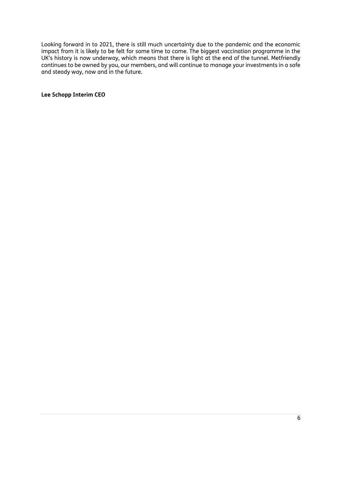Looking forward in to 2021, there is still much uncertainty due to the pandemic and the economic impact from it is likely to be felt for some time to come. The biggest vaccination programme in the UK's history is now underway, which means that there is light at the end of the tunnel. Metfriendly continues to be owned by you, our members, and will continue to manage your investments in a safe and steady way, now and in the future.

**Lee Schopp Interim CEO**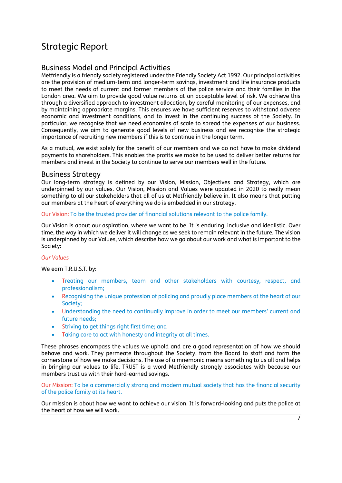## <span id="page-6-0"></span>Strategic Report

## Business Model and Principal Activities

Metfriendly is a friendly society registered under the Friendly Society Act 1992. Our principal activities are the provision of medium-term and longer-term savings, investment and life insurance products to meet the needs of current and former members of the police service and their families in the London area. We aim to provide good value returns at an acceptable level of risk. We achieve this through a diversified approach to investment allocation, by careful monitoring of our expenses, and by maintaining appropriate margins. This ensures we have sufficient reserves to withstand adverse economic and investment conditions, and to invest in the continuing success of the Society. In particular, we recognise that we need economies of scale to spread the expenses of our business. Consequently, we aim to generate good levels of new business and we recognise the strategic importance of recruiting new members if this is to continue in the longer term.

As a mutual, we exist solely for the benefit of our members and we do not have to make dividend payments to shareholders. This enables the profits we make to be used to deliver better returns for members and invest in the Society to continue to serve our members well in the future.

## Business Strategy

Our long-term strategy is defined by our Vision, Mission, Objectives and Strategy, which are underpinned by our values. Our Vision, Mission and Values were updated in 2020 to really mean something to all our stakeholders that all of us at Metfriendly believe in. It also means that putting our members at the heart of everything we do is embedded in our strategy.

#### Our Vision: To be the trusted provider of financial solutions relevant to the police family.

Our Vision is about our aspiration, where we want to be. It is enduring, inclusive and idealistic. Over time, the way in which we deliver it will change as we seek to remain relevant in the future. The vision is underpinned by our Values, which describe how we go about our work and what is important to the Society:

### *Our Values*

We earn T.R.U.S.T. by:

- Treating our members, team and other stakeholders with courtesy, respect, and professionalism;
- Recognising the unique profession of policing and proudly place members at the heart of our Society;
- Understanding the need to continually improve in order to meet our members' current and future needs;
- Striving to get things right first time; and
- Taking care to act with honesty and integrity at all times.

These phrases encompass the values we uphold and are a good representation of how we should behave and work. They permeate throughout the Society, from the Board to staff and form the cornerstone of how we make decisions. The use of a mnemonic means something to us all and helps in bringing our values to life. TRUST is a word Metfriendly strongly associates with because our members trust us with their hard-earned savings.

Our Mission: To be a commercially strong and modern mutual society that has the financial security of the police family at its heart.

Our mission is about how we want to achieve our vision. It is forward-looking and puts the police at the heart of how we will work.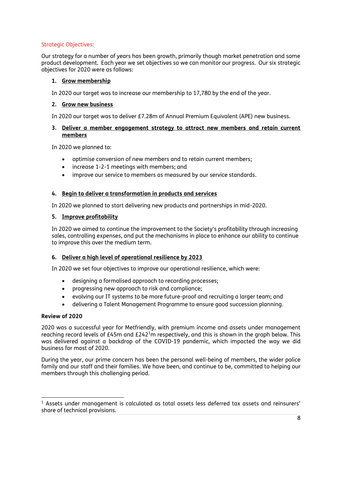#### Strategic Objectives:

Our strategy for a number of years has been growth, primarily though market penetration and some product development. Each year we set objectives so we can monitor our progress. Our six strategic objectives for 2020 were as follows:

#### **1. Grow membership**

In 2020 our target was to increase our membership to 17,780 by the end of the year.

#### **2. Grow new business**

In 2020 our target was to deliver £7.28m of Annual Premium Equivalent (APE) new business.

#### **3. Deliver a member engagement strategy to attract new members and retain current members**

In 2020 we planned to:

- optimise conversion of new members and to retain current members;
- increase 1-2-1 meetings with members; and
- improve our service to members as measured by our service standards.

#### **4. Begin to deliver a transformation in products and services**

In 2020 we planned to start delivering new products and partnerships in mid-2020.

#### **5. Improve profitability**

In 2020 we aimed to continue the improvement to the Society's profitability through increasing sales, controlling expenses, and put the mechanisms in place to enhance our ability to continue to improve this over the medium term.

#### **6. Deliver a high level of operational resilience by 2023**

In 2020 we set four objectives to improve our operational resilience, which were:

- designing a formalised approach to recording processes:
- progressing new approach to risk and compliance;
- evolving our IT systems to be more future-proof and recruiting a larger team; and
- delivering a Talent Management Programme to ensure good succession planning.

#### **Review of 2020**

2020 was a successful year for Metfriendly, with premium income and assets under management reaching record levels of £45m and  $E242<sup>1</sup>$ m respectively, and this is shown in the graph below. This was delivered against a backdrop of the COVID-19 pandemic, which impacted the way we did business for most of 2020.

During the year, our prime concern has been the personal well-being of members, the wider police family and our staff and their families. We have been, and continue to be, committed to helping our members through this challenging period.

<sup>1</sup> Assets under management is calculated as total assets less deferred tax assets and reinsurers' share of technical provisions.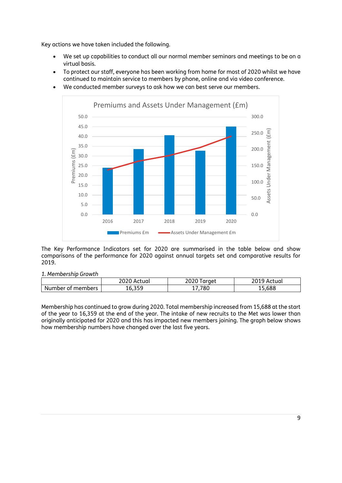Key actions we have taken included the following.

- We set up capabilities to conduct all our normal member seminars and meetings to be on a virtual basis.
- To protect our staff, everyone has been working from home for most of 2020 whilst we have continued to maintain service to members by phone, online and via video conference.
	- Premiums and Assets Under Management (£m) 50.0 300.0 45.0 Assets Under Management (£m) 250.0 £m 40.0 Assets Under Management 35.0 200.0 Premiums (£m) Premiums (£m) 30.0 150.0 25.0 20.0 100.0 15.0 10.0 50.0 5.0 0.0 0.0 2016 2017 2018 2019 2020 **Premiums £m Assets Under Management £m**
- We conducted member surveys to ask how we can best serve our members.

The Key Performance Indicators set for 2020 are summarised in the table below and show comparisons of the performance for 2020 against annual targets set and comparative results for 2019.

## *1. Membership Growth*

|                   | 2020 Actual | 2020<br>Taraet | 19 Actual<br>20 I J |
|-------------------|-------------|----------------|---------------------|
| Number of members | 10.JJJ      | .780           | 15,688              |

Membership has continued to grow during 2020. Total membership increased from 15,688 at the start of the year to 16,359 at the end of the year. The intake of new recruits to the Met was lower than originally anticipated for 2020 and this has impacted new members joining. The graph below shows how membership numbers have changed over the last five years.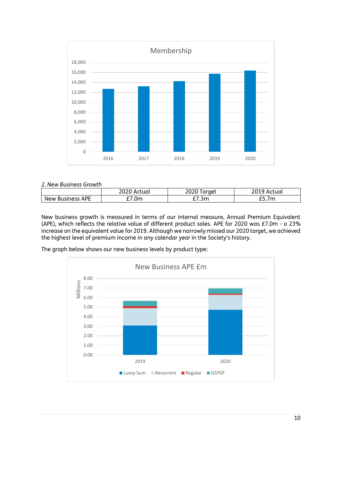

#### *2. New Business Growth*

|                         | 2020<br>`Actual | araet            | Actual          |
|-------------------------|-----------------|------------------|-----------------|
| <b>New Business APE</b> | 7.0m            | '.3m<br><u>.</u> | <i>__</i> .,,,, |

New business growth is measured in terms of our internal measure, Annual Premium Equivalent (APE), which reflects the relative value of different product sales. APE for 2020 was £7.0m - a 23% increase on the equivalent value for 2019. Although we narrowly missed our 2020 target, we achieved the highest level of premium income in any calendar year in the Society's history.

The graph below shows our new business levels by product type:

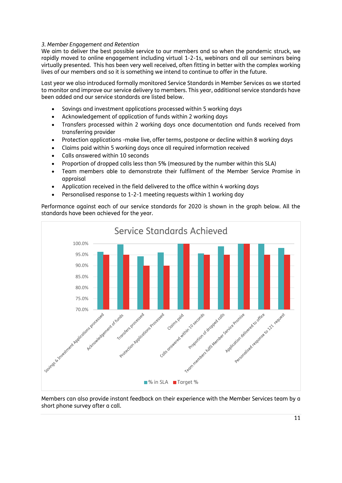#### *3. Member Engagement and Retention*

We aim to deliver the best possible service to our members and so when the pandemic struck, we rapidly moved to online engagement including virtual 1-2-1s, webinars and all our seminars being virtually presented. This has been very well received, often fitting in better with the complex working lives of our members and so it is something we intend to continue to offer in the future.

Last year we also introduced formally monitored Service Standards in Member Services as we started to monitor and improve our service delivery to members. This year, additional service standards have been added and our service standards are listed below.

- Savings and investment applications processed within 5 working days
- Acknowledgement of application of funds within 2 working days
- Transfers processed within 2 working days once documentation and funds received from transferring provider
- Protection applications -make live, offer terms, postpone or decline within 8 working days
- Claims paid within 5 working days once all required information received
- Calls answered within 10 seconds
- Proportion of dropped calls less than 5% (measured by the number within this SLA)
- Team members able to demonstrate their fulfilment of the Member Service Promise in appraisal
- Application received in the field delivered to the office within 4 working days
- Personalised response to 1-2-1 meeting requests within 1 working day

Performance against each of our service standards for 2020 is shown in the graph below. All the standards have been achieved for the year.



Members can also provide instant feedback on their experience with the Member Services team by a short phone survey after a call.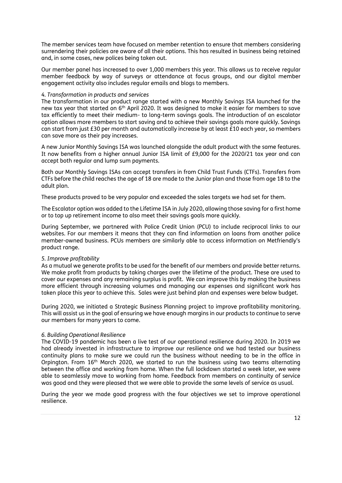The member services team have focused on member retention to ensure that members considering surrendering their policies are aware of all their options. This has resulted in business being retained and, in some cases, new polices being taken out.

Our member panel has increased to over 1,000 members this year. This allows us to receive regular member feedback by way of surveys or attendance at focus groups, and our digital member engagement activity also includes regular emails and blogs to members.

#### *4. Transformation in products and services*

The transformation in our product range started with a new Monthly Savings ISA launched for the new tax year that started on 6<sup>th</sup> April 2020. It was designed to make it easier for members to save tax efficiently to meet their medium- to long-term savings goals. The introduction of an escalator option allows more members to start saving and to achieve their savings goals more quickly. Savings can start from just £30 per month and automatically increase by at least £10 each year, so members can save more as their pay increases.

A new Junior Monthly Savings ISA was launched alongside the adult product with the same features. It now benefits from a higher annual Junior ISA limit of £9,000 for the 2020/21 tax year and can accept both regular and lump sum payments.

Both our Monthly Savings ISAs can accept transfers in from Child Trust Funds (CTFs). Transfers from CTFs before the child reaches the age of 18 are made to the Junior plan and those from age 18 to the adult plan.

These products proved to be very popular and exceeded the sales targets we had set for them.

The Escalator option was added to the Lifetime ISA in July 2020, allowing those saving for a first home or to top up retirement income to also meet their savings goals more quickly.

During September, we partnered with Police Credit Union (PCU) to include reciprocal links to our websites. For our members it means that they can find information on loans from another police member-owned business. PCUs members are similarly able to access information on Metfriendly's product range.

#### *5. Improve profitability*

As a mutual we generate profits to be used for the benefit of our members and provide better returns. We make profit from products by taking charges over the lifetime of the product. These are used to cover our expenses and any remaining surplus is profit. We can improve this by making the business more efficient through increasing volumes and managing our expenses and significant work has taken place this year to achieve this. Sales were just behind plan and expenses were below budget.

During 2020, we initiated a Strategic Business Planning project to improve profitability monitoring. This will assist us in the goal of ensuring we have enough margins in our products to continue to serve our members for many years to come.

#### *6. Building Operational Resilience*

The COVID-19 pandemic has been a live test of our operational resilience during 2020. In 2019 we had already invested in infrastructure to improve our resilience and we had tested our business continuity plans to make sure we could run the business without needing to be in the office in Orpington. From 16th March 2020, we started to run the business using two teams alternating between the office and working from home. When the full lockdown started a week later, we were able to seamlessly move to working from home. Feedback from members on continuity of service was good and they were pleased that we were able to provide the same levels of service as usual.

During the year we made good progress with the four objectives we set to improve operational resilience.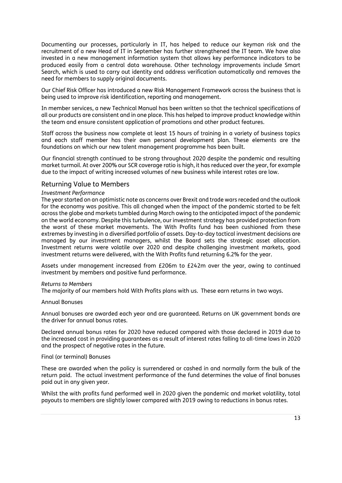Documenting our processes, particularly in IT, has helped to reduce our keyman risk and the recruitment of a new Head of IT in September has further strengthened the IT team. We have also invested in a new management information system that allows key performance indicators to be produced easily from a central data warehouse. Other technology improvements include Smart Search, which is used to carry out identity and address verification automatically and removes the need for members to supply original documents.

Our Chief Risk Officer has introduced a new Risk Management Framework across the business that is being used to improve risk identification, reporting and management.

In member services, a new Technical Manual has been written so that the technical specifications of all our products are consistent and in one place. This has helped to improve product knowledge within the team and ensure consistent application of promotions and other product features.

Staff across the business now complete at least 15 hours of training in a variety of business topics and each staff member has their own personal development plan. These elements are the foundations on which our new talent management programme has been built.

Our financial strength continued to be strong throughout 2020 despite the pandemic and resulting market turmoil. At over 200% our SCR coverage ratio is high, it has reduced over the year, for example due to the impact of writing increased volumes of new business while interest rates are low.

#### Returning Value to Members

#### *Investment Performance*

The year started on an optimistic note as concerns over Brexit and trade wars receded and the outlook for the economy was positive. This all changed when the impact of the pandemic started to be felt across the globe and markets tumbled during March owing to the anticipated impact of the pandemic on the world economy. Despite this turbulence, our investment strategy has provided protection from the worst of these market movements. The With Profits fund has been cushioned from these extremes by investing in a diversified portfolio of assets. Day-to-day tactical investment decisions are managed by our investment managers, whilst the Board sets the strategic asset allocation. Investment returns were volatile over 2020 and despite challenging investment markets, good investment returns were delivered, with the With Profits fund returning 6.2% for the year.

Assets under management increased from £206m to £242m over the year, owing to continued investment by members and positive fund performance.

#### *Returns to Members*

The majority of our members hold With Profits plans with us. These earn returns in two ways.

#### Annual Bonuses

Annual bonuses are awarded each year and are guaranteed. Returns on UK government bonds are the driver for annual bonus rates.

Declared annual bonus rates for 2020 have reduced compared with those declared in 2019 due to the increased cost in providing guarantees as a result of interest rates falling to all-time lows in 2020 and the prospect of negative rates in the future.

#### Final (or terminal) Bonuses

These are awarded when the policy is surrendered or cashed in and normally form the bulk of the return paid. The actual investment performance of the fund determines the value of final bonuses paid out in any given year.

Whilst the with profits fund performed well in 2020 given the pandemic and market volatility, total payouts to members are slightly lower compared with 2019 owing to reductions in bonus rates.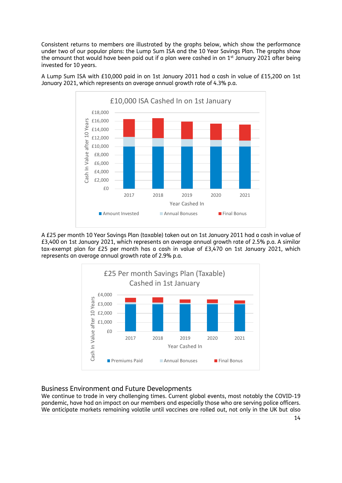Consistent returns to members are illustrated by the graphs below, which show the performance under two of our popular plans: the Lump Sum ISA and the 10 Year Savings Plan. The graphs show the amount that would have been paid out if a plan were cashed in on 1<sup>st</sup> January 2021 after being invested for 10 years.



A Lump Sum ISA with £10,000 paid in on 1st January 2011 had a cash in value of £15,200 on 1st January 2021, which represents an average annual growth rate of 4.3% p.a.

A £25 per month 10 Year Savings Plan (taxable) taken out on 1st January 2011 had a cash in value of £3,400 on 1st January 2021, which represents an average annual growth rate of 2.5% p.a. A similar tax-exempt plan for £25 per month has a cash in value of £3,470 on 1st January 2021, which represents an average annual growth rate of 2.9% p.a.



### Business Environment and Future Developments

We continue to trade in very challenging times. Current global events, most notably the COVID-19 pandemic, have had an impact on our members and especially those who are serving police officers. We anticipate markets remaining volatile until vaccines are rolled out, not only in the UK but also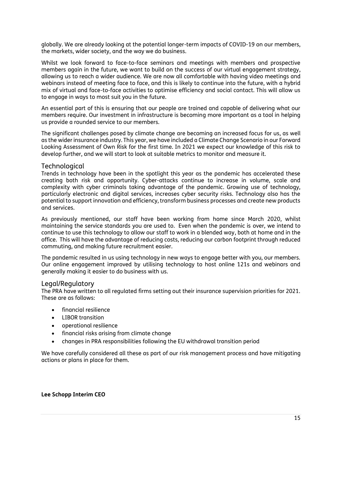globally. We are already looking at the potential longer-term impacts of COVID-19 on our members, the markets, wider society, and the way we do business.

Whilst we look forward to face-to-face seminars and meetings with members and prospective members again in the future, we want to build on the success of our virtual engagement strategy, allowing us to reach a wider audience. We are now all comfortable with having video meetings and webinars instead of meeting face to face, and this is likely to continue into the future, with a hybrid mix of virtual and face-to-face activities to optimise efficiency and social contact. This will allow us to engage in ways to most suit you in the future.

An essential part of this is ensuring that our people are trained and capable of delivering what our members require. Our investment in infrastructure is becoming more important as a tool in helping us provide a rounded service to our members.

The significant challenges posed by climate change are becoming an increased focus for us, as well as the wider insurance industry. This year, we have included a Climate Change Scenario in our Forward Looking Assessment of Own Risk for the first time. In 2021 we expect our knowledge of this risk to develop further, and we will start to look at suitable metrics to monitor and measure it.

#### Technological

Trends in technology have been in the spotlight this year as the pandemic has accelerated these creating both risk and opportunity. Cyber-attacks continue to increase in volume, scale and complexity with cyber criminals taking advantage of the pandemic. Growing use of technology, particularly electronic and digital services, increases cyber security risks. Technology also has the potential to support innovation and efficiency, transform business processes and create new products and services.

As previously mentioned, our staff have been working from home since March 2020, whilst maintaining the service standards you are used to. Even when the pandemic is over, we intend to continue to use this technology to allow our staff to work in a blended way, both at home and in the office. This will have the advantage of reducing costs, reducing our carbon footprint through reduced commuting, and making future recruitment easier.

The pandemic resulted in us using technology in new ways to engage better with you, our members. Our online engagement improved by utilising technology to host online 121s and webinars and generally making it easier to do business with us.

#### Legal/Regulatory

The PRA have written to all regulated firms setting out their insurance supervision priorities for 2021. These are as follows:

- financial resilience
- LIBOR transition
- operational resilience
- financial risks arising from climate change
- changes in PRA responsibilities following the EU withdrawal transition period

We have carefully considered all these as part of our risk management process and have mitigating actions or plans in place for them.

**Lee Schopp Interim CEO**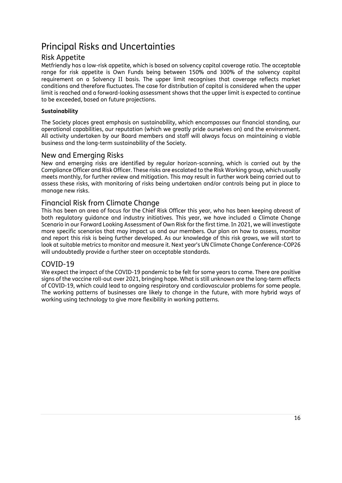## <span id="page-15-0"></span>Principal Risks and Uncertainties

## Risk Appetite

Metfriendly has a low-risk appetite, which is based on solvency capital coverage ratio. The acceptable range for risk appetite is Own Funds being between 150% and 300% of the solvency capital requirement on a Solvency II basis. The upper limit recognises that coverage reflects market conditions and therefore fluctuates. The case for distribution of capital is considered when the upper limit is reached and a forward-looking assessment shows that the upper limit is expected to continue to be exceeded, based on future projections.

### **Sustainability**

The Society places great emphasis on sustainability, which encompasses our financial standing, our operational capabilities, our reputation (which we greatly pride ourselves on) and the environment. All activity undertaken by our Board members and staff will always focus on maintaining a viable business and the long-term sustainability of the Society.

## New and Emerging Risks

New and emerging risks are identified by regular horizon-scanning, which is carried out by the Compliance Officer and Risk Officer. These risks are escalated to the Risk Working group, which usually meets monthly, for further review and mitigation. This may result in further work being carried out to assess these risks, with monitoring of risks being undertaken and/or controls being put in place to manage new risks.

## Financial Risk from Climate Change

This has been an area of focus for the Chief Risk Officer this year, who has been keeping abreast of both regulatory guidance and industry initiatives. This year, we have included a Climate Change Scenario in our Forward Looking Assessment of Own Risk for the first time. In 2021, we will investigate more specific scenarios that may impact us and our members. Our plan on how to assess, monitor and report this risk is being further developed. As our knowledge of this risk grows, we will start to look at suitable metrics to monitor and measure it. Next year's UN Climate Change Conference-COP26 will undoubtedly provide a further steer on acceptable standards.

## COVID-19

We expect the impact of the COVID-19 pandemic to be felt for some years to come. There are positive signs of the vaccine roll-out over 2021, bringing hope. What is still unknown are the long-term effects of COVID-19, which could lead to ongoing respiratory and cardiovascular problems for some people. The working patterns of businesses are likely to change in the future, with more hybrid ways of working using technology to give more flexibility in working patterns.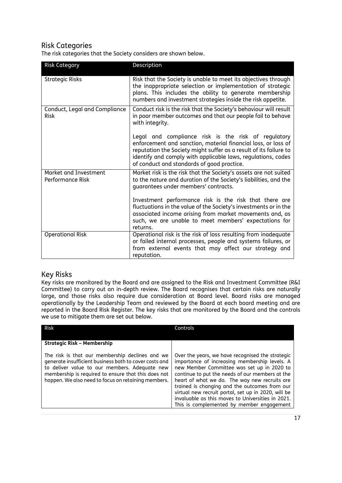## Risk Categories

The risk categories that the Society considers are shown below.

| <b>Risk Category</b>                         | Description                                                                                                                                                                                                                                                                                             |
|----------------------------------------------|---------------------------------------------------------------------------------------------------------------------------------------------------------------------------------------------------------------------------------------------------------------------------------------------------------|
| <b>Strategic Risks</b>                       | Risk that the Society is unable to meet its objectives through<br>the inappropriate selection or implementation of strategic<br>plans. This includes the ability to generate membership<br>numbers and investment strategies inside the risk appetite.                                                  |
| Conduct, Legal and Compliance<br><b>Risk</b> | Conduct risk is the risk that the Society's behaviour will result<br>in poor member outcomes and that our people fail to behave<br>with integrity.                                                                                                                                                      |
|                                              | Legal and compliance risk is the risk of regulatory<br>enforcement and sanction, material financial loss, or loss of<br>reputation the Society might suffer as a result of its failure to<br>identify and comply with applicable laws, regulations, codes<br>of conduct and standards of good practice. |
| Market and Investment<br>Performance Risk    | Market risk is the risk that the Society's assets are not suited<br>to the nature and duration of the Society's liabilities, and the<br>guarantees under members' contracts.                                                                                                                            |
|                                              | Investment performance risk is the risk that there are<br>fluctuations in the value of the Society's investments or in the<br>associated income arising from market movements and, as<br>such, we are unable to meet members' expectations for<br>returns.                                              |
| <b>Operational Risk</b>                      | Operational risk is the risk of loss resulting from inadequate<br>or failed internal processes, people and systems failures, or<br>from external events that may affect our strategy and<br>reputation.                                                                                                 |

## Key Risks

Key risks are monitored by the Board and are assigned to the Risk and Investment Committee (R&I Committee) to carry out an in-depth review. The Board recognises that certain risks are naturally large, and those risks also require due consideration at Board level. Board risks are managed operationally by the Leadership Team and reviewed by the Board at each board meeting and are reported in the Board Risk Register. The key risks that are monitored by the Board and the controls we use to mitigate them are set out below.

| <b>Risk</b>                                                                                                                                                                                                                                                              | Controls                                                                                                                                                                                                                                                                                                                                                                                                                                                      |
|--------------------------------------------------------------------------------------------------------------------------------------------------------------------------------------------------------------------------------------------------------------------------|---------------------------------------------------------------------------------------------------------------------------------------------------------------------------------------------------------------------------------------------------------------------------------------------------------------------------------------------------------------------------------------------------------------------------------------------------------------|
| <b>Strategic Risk – Membership</b>                                                                                                                                                                                                                                       |                                                                                                                                                                                                                                                                                                                                                                                                                                                               |
| The risk is that our membership declines and we<br>generate insufficient business both to cover costs and<br>to deliver value to our members. Adequate new<br>membership is required to ensure that this does not<br>happen. We also need to focus on retaining members. | Over the years, we have recognised the strategic<br>importance of increasing membership levels. A<br>new Member Committee was set up in 2020 to<br>continue to put the needs of our members at the<br>heart of what we do. The way new recruits are<br>trained is changing and the outcomes from our<br>virtual new recruit portal, set up in 2020, will be<br>invaluable as this moves to Universities in 2021.<br>This is complemented by member engagement |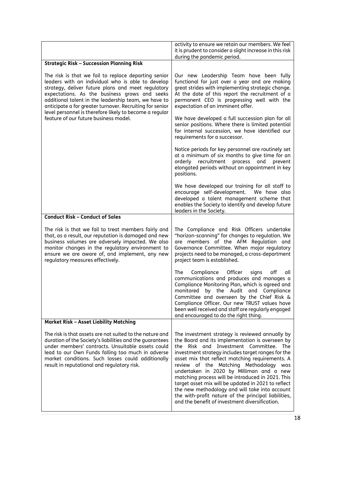| Our new Leadership Team have been fully<br>functional for just over a year and are making<br>great strides with implementing strategic change.<br>At the date of this report the recruitment of a<br>permanent CEO is progressing well with the<br>expectation of an imminent offer.<br>We have developed a full succession plan for all<br>senior positions. Where there is limited potential<br>for internal succession, we have identified our<br>requirements for a successor.<br>Notice periods for key personnel are routinely set<br>at a minimum of six months to give time for an<br>orderly recruitment process and<br>prevent<br>elongated periods without an appointment in key<br>positions.<br>We have developed our training for all staff to |
|--------------------------------------------------------------------------------------------------------------------------------------------------------------------------------------------------------------------------------------------------------------------------------------------------------------------------------------------------------------------------------------------------------------------------------------------------------------------------------------------------------------------------------------------------------------------------------------------------------------------------------------------------------------------------------------------------------------------------------------------------------------|
|                                                                                                                                                                                                                                                                                                                                                                                                                                                                                                                                                                                                                                                                                                                                                              |
|                                                                                                                                                                                                                                                                                                                                                                                                                                                                                                                                                                                                                                                                                                                                                              |
|                                                                                                                                                                                                                                                                                                                                                                                                                                                                                                                                                                                                                                                                                                                                                              |
|                                                                                                                                                                                                                                                                                                                                                                                                                                                                                                                                                                                                                                                                                                                                                              |
| encourage self-development. We have also<br>developed a talent management scheme that<br>enables the Society to identify and develop future<br>leaders in the Society.                                                                                                                                                                                                                                                                                                                                                                                                                                                                                                                                                                                       |
|                                                                                                                                                                                                                                                                                                                                                                                                                                                                                                                                                                                                                                                                                                                                                              |
| The Compliance and Risk Officers undertake<br>"horizon-scanning" for changes to regulation. We<br>are members of the AFM Regulation and<br>Governance Committee. When major regulatory<br>projects need to be managed, a cross-department<br>project team is established.                                                                                                                                                                                                                                                                                                                                                                                                                                                                                    |
| The<br>Compliance Officer<br>signs<br>off<br>all<br>communications and produces and manages a<br>Compliance Monitoring Plan, which is agreed and<br>monitored by the Audit and Compliance<br>Committee and overseen by the Chief Risk &<br>Compliance Officer. Our new TRUST values have<br>been well received and staff are regularly engaged<br>and encouraged to do the right thing.                                                                                                                                                                                                                                                                                                                                                                      |
|                                                                                                                                                                                                                                                                                                                                                                                                                                                                                                                                                                                                                                                                                                                                                              |
| The investment strategy is reviewed annually by<br>the Board and its implementation is overseen by<br>the Risk and Investment Committee. The<br>investment strategy includes target ranges for the<br>asset mix that reflect matching requirements. A<br>review of the Matching Methodology was                                                                                                                                                                                                                                                                                                                                                                                                                                                              |
|                                                                                                                                                                                                                                                                                                                                                                                                                                                                                                                                                                                                                                                                                                                                                              |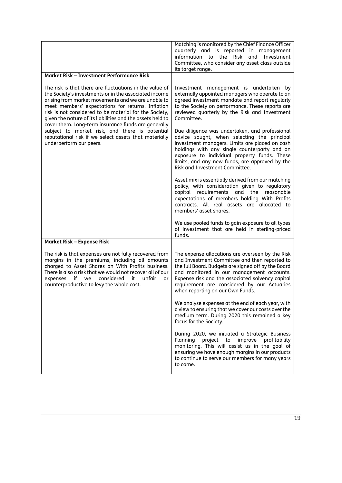|                                                                                                                                                                                                                                                                                                                                                                                                                                                                                                                                                  | Matching is monitored by the Chief Finance Officer<br>quarterly and is reported in management<br>information to the Risk and Investment<br>Committee, who consider any asset class outside<br>its target range.                                                                                                                              |
|--------------------------------------------------------------------------------------------------------------------------------------------------------------------------------------------------------------------------------------------------------------------------------------------------------------------------------------------------------------------------------------------------------------------------------------------------------------------------------------------------------------------------------------------------|----------------------------------------------------------------------------------------------------------------------------------------------------------------------------------------------------------------------------------------------------------------------------------------------------------------------------------------------|
| Market Risk - Investment Performance Risk                                                                                                                                                                                                                                                                                                                                                                                                                                                                                                        |                                                                                                                                                                                                                                                                                                                                              |
| The risk is that there are fluctuations in the value of<br>the Society's investments or in the associated income<br>arising from market movements and we are unable to<br>meet members' expectations for returns. Inflation<br>risk is not considered to be material for the Society,<br>given the nature of its liabilities and the assets held to<br>cover them. Long-term insurance funds are generally<br>subject to market risk, and there is potential<br>reputational risk if we select assets that materially<br>underperform our peers. | Investment management is undertaken by<br>externally appointed managers who operate to an<br>agreed investment mandate and report regularly<br>to the Society on performance. These reports are<br>reviewed quarterly by the Risk and Investment<br>Committee.                                                                               |
|                                                                                                                                                                                                                                                                                                                                                                                                                                                                                                                                                  | Due diligence was undertaken, and professional<br>advice sought, when selecting the principal<br>investment managers. Limits are placed on cash<br>holdings with any single counterparty and on<br>exposure to individual property funds. These<br>limits, and any new funds, are approved by the<br>Risk and Investment Committee.          |
|                                                                                                                                                                                                                                                                                                                                                                                                                                                                                                                                                  | Asset mix is essentially derived from our matching<br>policy, with consideration given to regulatory<br>capital<br>requirements<br>and the reasonable<br>expectations of members holding With Profits<br>contracts. All real assets are allocated to<br>members' asset shares.                                                               |
|                                                                                                                                                                                                                                                                                                                                                                                                                                                                                                                                                  | We use pooled funds to gain exposure to all types<br>of investment that are held in sterling-priced<br>funds.                                                                                                                                                                                                                                |
| <b>Market Risk - Expense Risk</b>                                                                                                                                                                                                                                                                                                                                                                                                                                                                                                                |                                                                                                                                                                                                                                                                                                                                              |
| The risk is that expenses are not fully recovered from<br>margins in the premiums, including all amounts<br>charged to Asset Shares on With Profits business.<br>There is also a risk that we would not recover all of our<br>if we considered<br>it unfair<br>expenses<br>or<br>counterproductive to levy the whole cost.                                                                                                                                                                                                                       | The expense allocations are overseen by the Risk<br>and Investment Committee and then reported to<br>the full Board. Budgets are signed off by the Board<br>and monitored in our management accounts.<br>Expense risk and the associated solvency capital<br>requirement are considered by our Actuaries<br>when reporting on our Own Funds. |
|                                                                                                                                                                                                                                                                                                                                                                                                                                                                                                                                                  | We analyse expenses at the end of each year, with<br>a view to ensuring that we cover our costs over the<br>medium term. During 2020 this remained a key<br>focus for the Society.                                                                                                                                                           |
|                                                                                                                                                                                                                                                                                                                                                                                                                                                                                                                                                  | During 2020, we initiated a Strategic Business<br>Planning<br>project<br>improve<br>profitability<br>to<br>monitoring. This will assist us in the goal of<br>ensuring we have enough margins in our products<br>to continue to serve our members for many years<br>to come.                                                                  |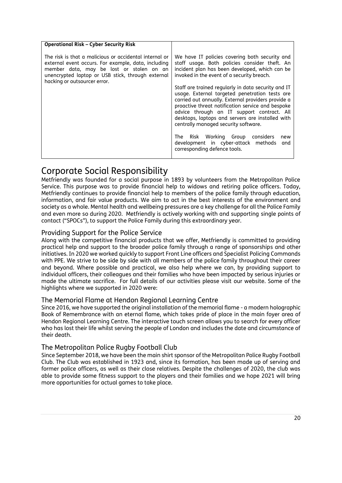| <b>Operational Risk - Cyber Security Risk</b>                                                                                                                                                                                                  |                                                                                                                                                                                                                                                                                                     |
|------------------------------------------------------------------------------------------------------------------------------------------------------------------------------------------------------------------------------------------------|-----------------------------------------------------------------------------------------------------------------------------------------------------------------------------------------------------------------------------------------------------------------------------------------------------|
| The risk is that a malicious or accidental internal or<br>external event occurs. For example, data, including<br>member data, may be lost or stolen on an<br>unencrypted laptop or USB stick, through external<br>hacking or outsourcer error. | We have IT policies covering both security and<br>staff usage. Both policies consider theft. An<br>incident plan has been developed, which can be<br>invoked in the event of a security breach.<br>Staff are trained regularly in data security and IT                                              |
|                                                                                                                                                                                                                                                | usage. External targeted penetration tests are<br>carried out annually. External providers provide a<br>proactive threat notification service and bespoke<br>advice through an IT support contract. All<br>desktops, laptops and servers are installed with<br>centrally managed security software. |
|                                                                                                                                                                                                                                                | The Risk Working Group<br>considers<br>new<br>development in cyber-attack methods<br>and<br>corresponding defence tools.                                                                                                                                                                            |

## <span id="page-19-0"></span>Corporate Social Responsibility

Metfriendly was founded for a social purpose in 1893 by volunteers from the Metropolitan Police Service. This purpose was to provide financial help to widows and retiring police officers. Today, Metfriendly continues to provide financial help to members of the police family through education, information, and fair value products. We aim to act in the best interests of the environment and society as a whole. Mental health and wellbeing pressures are a key challenge for all the Police Family and even more so during 2020. Metfriendly is actively working with and supporting single points of contact ("SPOCs"), to support the Police Family during this extraordinary year.

## Providing Support for the Police Service

Along with the competitive financial products that we offer, Metfriendly is committed to providing practical help and support to the broader police family through a range of sponsorships and other initiatives. In 2020 we worked quickly to support Front Line officers and Specialist Policing Commands with PPE. We strive to be side by side with all members of the police family throughout their career and beyond. Where possible and practical, we also help where we can, by providing support to individual officers, their colleagues and their families who have been impacted by serious injuries or made the ultimate sacrifice. For full details of our activities please visit our website. Some of the highlights where we supported in 2020 were:

## The Memorial Flame at Hendon Regional Learning Centre

Since 2016, we have supported the original installation of the memorial flame - a modern holographic Book of Remembrance with an eternal flame, which takes pride of place in the main foyer area of Hendon Regional Learning Centre. The interactive touch screen allows you to search for every officer who has lost their life whilst serving the people of London and includes the date and circumstance of their death.

## The Metropolitan Police Rugby Football Club

Since September 2018, we have been the main shirt sponsor of the Metropolitan Police Rugby Football Club. The Club was established in 1923 and, since its formation, has been made up of serving and former police officers, as well as their close relatives. Despite the challenges of 2020, the club was able to provide some fitness support to the players and their families and we hope 2021 will bring more opportunities for actual games to take place.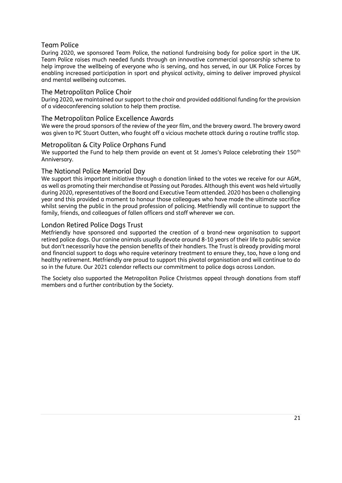## Team Police

During 2020, we sponsored Team Police, the national fundraising body for police sport in the UK. Team Police raises much needed funds through an innovative commercial sponsorship scheme to help improve the wellbeing of everyone who is serving, and has served, in our UK Police Forces by enabling increased participation in sport and physical activity, aiming to deliver improved physical and mental wellbeing outcomes.

### The Metropolitan Police Choir

During 2020, we maintained our support to the choir and provided additional funding for the provision of a videoconferencing solution to help them practise.

#### The Metropolitan Police Excellence Awards

We were the proud sponsors of the review of the year film, and the bravery award. The bravery award was given to PC Stuart Outten, who fought off a vicious machete attack during a routine traffic stop.

#### Metropolitan & City Police Orphans Fund

We supported the Fund to help them provide an event at St James's Palace celebrating their 150<sup>th</sup> Anniversary.

### The National Police Memorial Day

We support this important initiative through a donation linked to the votes we receive for our AGM, as well as promoting their merchandise at Passing out Parades. Although this event was held virtually during 2020, representatives of the Board and Executive Team attended. 2020 has been a challenging year and this provided a moment to honour those colleagues who have made the ultimate sacrifice whilst serving the public in the proud profession of policing. Metfriendly will continue to support the family, friends, and colleagues of fallen officers and staff wherever we can.

### London Retired Police Dogs Trust

Metfriendly have sponsored and supported the creation of a brand-new organisation to support retired police dogs. Our canine animals usually devote around 8-10 years of their life to public service but don't necessarily have the pension benefits of their handlers. The Trust is already providing moral and financial support to dogs who require veterinary treatment to ensure they, too, have a long and healthy retirement. Metfriendly are proud to support this pivotal organisation and will continue to do so in the future. Our 2021 calendar reflects our commitment to police dogs across London.

The Society also supported the Metropolitan Police Christmas appeal through donations from staff members and a further contribution by the Society.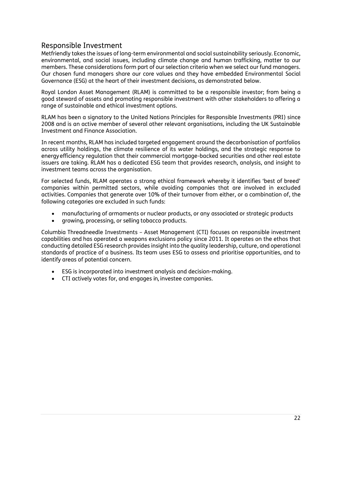## Responsible Investment

Metfriendly takes the issues of long-term environmental and social sustainability seriously. Economic, environmental, and social issues, including climate change and human trafficking, matter to our members. These considerations form part of our selection criteria when we select our fund managers. Our chosen fund managers share our core values and they have embedded Environmental Social Governance (ESG) at the heart of their investment decisions, as demonstrated below.

Royal London Asset Management (RLAM) is committed to be a responsible investor; from being a good steward of assets and promoting responsible investment with other stakeholders to offering a range of sustainable and ethical investment options.

RLAM has been a signatory to the United Nations Principles for Responsible Investments (PRI) since 2008 and is an active member of several other relevant organisations, including the UK Sustainable Investment and Finance Association.

In recent months, RLAM has included targeted engagement around the decarbonisation of portfolios across utility holdings, the climate resilience of its water holdings, and the strategic response to energyefficiency regulation that their commercial mortgage-backed securities and other real estate issuers are taking. RLAM has a dedicated ESG team that provides research, analysis, and insight to investment teams across the organisation.

For selected funds, RLAM operates a strong ethical framework whereby it identifies 'best of breed' companies within permitted sectors, while avoiding companies that are involved in excluded activities. Companies that generate over 10% of their turnover from either, or a combination of, the following categories are excluded in such funds:

- manufacturing of armaments or nuclear products, or any associated or strategic products
- growing, processing, or selling tobacco products.

Columbia Threadneedle Investments – Asset Management (CTI) focuses on responsible investment capabilities and has operated a weapons exclusions policy since 2011. It operates on the ethos that conducting detailed ESG research provides insight into the quality leadership, culture, and operational standards of practice of a business. Its team uses ESG to assess and prioritise opportunities, and to identify areas of potential concern.

- ESG is incorporated into investment analysis and decision-making.
- CTI actively votes for, and engages in, investee companies.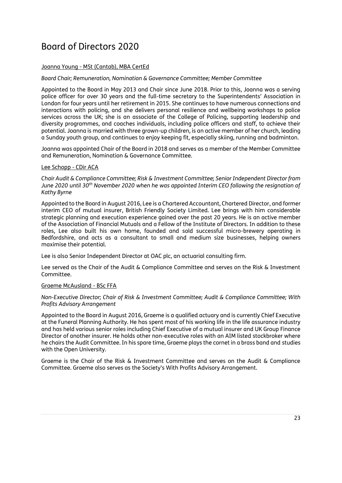## <span id="page-22-0"></span>Board of Directors 2020

#### Joanna Young - MSt (Cantab), MBA CertEd

#### *Board Chair; Remuneration, Nomination & Governance Committee; Member Committee*

Appointed to the Board in May 2013 and Chair since June 2018. Prior to this, Joanna was a serving police officer for over 30 years and the full-time secretary to the Superintendents' Association in London for four years until her retirement in 2015. She continues to have numerous connections and interactions with policing, and she delivers personal resilience and wellbeing workshops to police services across the UK; she is an associate of the College of Policing, supporting leadership and diversity programmes, and coaches individuals, including police officers and staff, to achieve their potential. Joanna is married with three grown-up children, is an active member of her church, leading a Sunday youth group, and continues to enjoy keeping fit, especially skiing, running and badminton.

Joanna was appointed Chair of the Board in 2018 and serves as a member of the Member Committee and Remuneration, Nomination & Governance Committee.

#### Lee Schopp - CDir ACA

*Chair Audit & Compliance Committee; Risk & Investment Committee; Senior Independent Director from June 2020 until 30 th November 2020 when he was appointed Interim CEO following the resignation of Kathy Byrne*

Appointed to the Board in August 2016, Lee is a Chartered Accountant, Chartered Director, and former interim CEO of mutual insurer, British Friendly Society Limited. Lee brings with him considerable strategic planning and execution experience gained over the past 20 years. He is an active member of the Association of Financial Mutuals and a Fellow of the Institute of Directors. In addition to these roles, Lee also built his own home, founded and sold successful micro-brewery operating in Bedfordshire, and acts as a consultant to small and medium size businesses, helping owners maximise their potential.

Lee is also Senior Independent Director at OAC plc, an actuarial consulting firm.

Lee served as the Chair of the Audit & Compliance Committee and serves on the Risk & Investment Committee.

#### Graeme McAusland - BSc FFA

#### *Non-Executive Director; Chair of Risk & Investment Committee; Audit & Compliance Committee; With Profits Advisory Arrangement*

Appointed to the Board in August 2016, Graeme is a qualified actuary and is currently Chief Executive at the Funeral Planning Authority. He has spent most of his working life in the life assurance industry and has held various senior roles including Chief Executive of a mutual insurer and UK Group Finance Director of another insurer. He holds other non-executive roles with an AIM listed stockbroker where he chairs the Audit Committee. In his spare time, Graeme plays the cornet in a brass band and studies with the Open University.

Graeme is the Chair of the Risk & Investment Committee and serves on the Audit & Compliance Committee. Graeme also serves as the Society's With Profits Advisory Arrangement.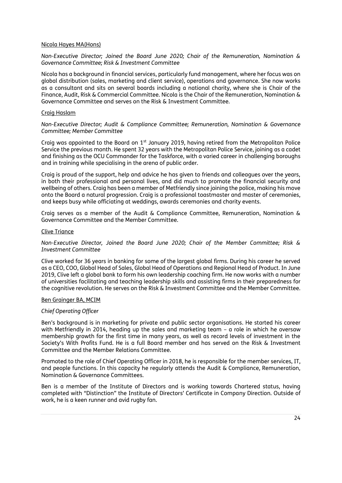#### Nicola Hayes MA(Hons)

*Non-Executive Director; Joined the Board June 2020; Chair of the Remuneration, Nomination & Governance Committee; Risk & Investment Committee*

Nicola has a background in financial services, particularly fund management, where her focus was on global distribution (sales, marketing and client service), operations and governance. She now works as a consultant and sits on several boards including a national charity, where she is Chair of the Finance, Audit, Risk & Commercial Committee. Nicola is the Chair of the Remuneration, Nomination & Governance Committee and serves on the Risk & Investment Committee.

#### Craig Haslam

*Non-Executive Director; Audit & Compliance Committee; Remuneration, Nomination & Governance Committee; Member Committee*

Craig was appointed to the Board on 1<sup>st</sup> January 2019, having retired from the Metropolitan Police Service the previous month. He spent 32 years with the Metropolitan Police Service, joining as a cadet and finishing as the OCU Commander for the Taskforce, with a varied career in challenging boroughs and in training while specialising in the arena of public order.

Craig is proud of the support, help and advice he has given to friends and colleagues over the years, in both their professional and personal lives, and did much to promote the financial security and wellbeing of others. Craig has been a member of Metfriendly since joining the police, making his move onto the Board a natural progression. Craig is a professional toastmaster and master of ceremonies, and keeps busy while officiating at weddings, awards ceremonies and charity events.

Craig serves as a member of the Audit & Compliance Committee, Remuneration, Nomination & Governance Committee and the Member Committee.

#### Clive Triance

*Non-Executive Director, Joined the Board June 2020; Chair of the Member Committee; Risk & Investment Committee* 

Clive worked for 36 years in banking for some of the largest global firms. During his career he served as a CEO, COO, Global Head of Sales, Global Head of Operations and Regional Head of Product. In June 2019, Clive left a global bank to form his own leadership coaching firm. He now works with a number of universities facilitating and teaching leadership skills and assisting firms in their preparedness for the cognitive revolution. He serves on the Risk & Investment Committee and the Member Committee.

#### Ben Grainger BA, MCIM

#### *Chief Operating Officer*

Ben's background is in marketing for private and public sector organisations. He started his career with Metfriendly in 2014, heading up the sales and marketing team – a role in which he oversaw membership growth for the first time in many years, as well as record levels of investment in the Society's With Profits Fund. He is a full Board member and has served on the Risk & Investment Committee and the Member Relations Committee.

Promoted to the role of Chief Operating Officer in 2018, he is responsible for the member services, IT, and people functions. In this capacity he regularly attends the Audit & Compliance, Remuneration, Nomination & Governance Committees.

Ben is a member of the Institute of Directors and is working towards Chartered status, having completed with "Distinction" the Institute of Directors' Certificate in Company Direction. Outside of work, he is a keen runner and avid rugby fan.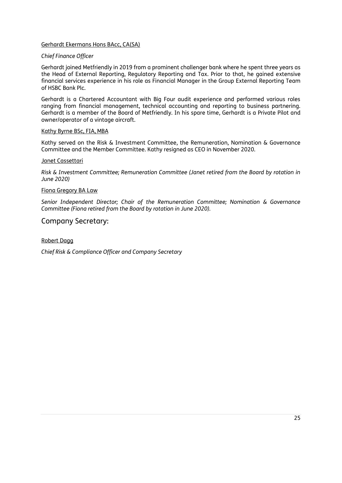#### Gerhardt Ekermans Hons BAcc, CA(SA)

#### *Chief Finance Officer*

Gerhardt joined Metfriendly in 2019 from a prominent challenger bank where he spent three years as the Head of External Reporting, Regulatory Reporting and Tax. Prior to that, he gained extensive financial services experience in his role as Financial Manager in the Group External Reporting Team of HSBC Bank Plc.

Gerhardt is a Chartered Accountant with Big Four audit experience and performed various roles ranging from financial management, technical accounting and reporting to business partnering. Gerhardt is a member of the Board of Metfriendly. In his spare time, Gerhardt is a Private Pilot and owner/operator of a vintage aircraft.

#### Kathy Byrne BSc, FIA, MBA

Kathy served on the Risk & Investment Committee, the Remuneration, Nomination & Governance Committee and the Member Committee. Kathy resigned as CEO in November 2020.

#### Janet Cassettari

*Risk & Investment Committee; Remuneration Committee (Janet retired from the Board by rotation in June 2020)*

#### Fiona Gregory BA Law

*Senior Independent Director; Chair of the Remuneration Committee; Nomination & Governance Committee (Fiona retired from the Board by rotation in June 2020).*

## Company Secretary:

#### Robert Dagg

*Chief Risk & Compliance Officer and Company Secretary*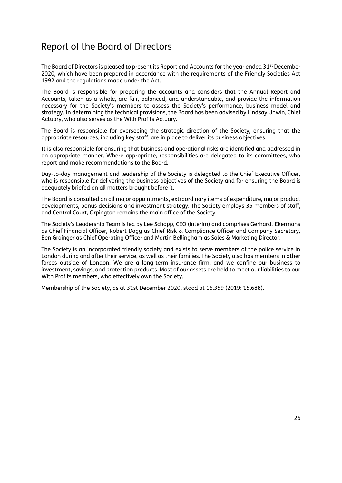## <span id="page-25-0"></span>Report of the Board of Directors

The Board of Directors is pleased to present its Report and Accounts for the year ended 31<sup>st</sup> December 2020, which have been prepared in accordance with the requirements of the Friendly Societies Act 1992 and the regulations made under the Act.

The Board is responsible for preparing the accounts and considers that the Annual Report and Accounts, taken as a whole, are fair, balanced, and understandable, and provide the information necessary for the Society's members to assess the Society's performance, business model and strategy. In determining the technical provisions, the Board has been advised by Lindsay Unwin, Chief Actuary, who also serves as the With Profits Actuary.

The Board is responsible for overseeing the strategic direction of the Society, ensuring that the appropriate resources, including key staff, are in place to deliver its business objectives.

It is also responsible for ensuring that business and operational risks are identified and addressed in an appropriate manner. Where appropriate, responsibilities are delegated to its committees, who report and make recommendations to the Board.

Day-to-day management and leadership of the Society is delegated to the Chief Executive Officer, who is responsible for delivering the business objectives of the Society and for ensuring the Board is adequately briefed on all matters brought before it.

The Board is consulted on all major appointments, extraordinary items of expenditure, major product developments, bonus decisions and investment strategy. The Society employs 35 members of staff, and Central Court, Orpington remains the main office of the Society.

The Society's Leadership Team is led by Lee Schopp, CEO (interim) and comprises Gerhardt Ekermans as Chief Financial Officer, Robert Dagg as Chief Risk & Compliance Officer and Company Secretary, Ben Grainger as Chief Operating Officer and Martin Bellingham as Sales & Marketing Director.

The Society is an incorporated friendly society and exists to serve members of the police service in London during and after their service, as well as their families. The Society also has members in other forces outside of London. We are a long-term insurance firm, and we confine our business to investment, savings, and protection products. Most of our assets are held to meet our liabilities to our With Profits members, who effectively own the Society.

Membership of the Society, as at 31st December 2020, stood at 16,359 (2019: 15,688).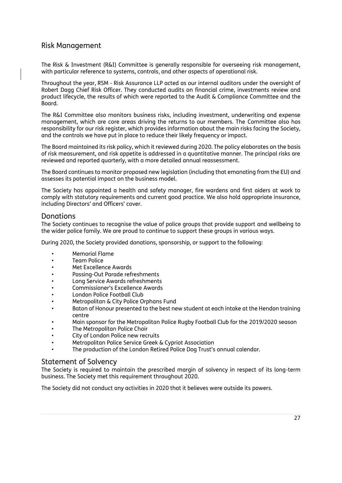## Risk Management

The Risk & Investment (R&I) Committee is generally responsible for overseeing risk management, with particular reference to systems, controls, and other aspects of operational risk.

Throughout the year, RSM - Risk Assurance LLP acted as our internal auditors under the oversight of Robert Dagg Chief Risk Officer. They conducted audits on financial crime, investments review and product lifecycle, the results of which were reported to the Audit & Compliance Committee and the Board.

The R&I Committee also monitors business risks, including investment, underwriting and expense management, which are core areas driving the returns to our members. The Committee also has responsibility for our risk register, which provides information about the main risks facing the Society, and the controls we have put in place to reduce their likely frequency or impact.

The Board maintained its risk policy, which it reviewed during 2020. The policy elaborates on the basis of risk measurement, and risk appetite is addressed in a quantitative manner. The principal risks are reviewed and reported quarterly, with a more detailed annual reassessment.

The Board continues to monitor proposed new legislation (including that emanating from the EU) and assesses its potential impact on the business model.

The Society has appointed a health and safety manager, fire wardens and first aiders at work to comply with statutory requirements and current good practice. We also hold appropriate insurance, including Directors' and Officers' cover.

## **Donations**

The Society continues to recognise the value of police groups that provide support and wellbeing to the wider police family. We are proud to continue to support these groups in various ways.

During 2020, the Society provided donations, sponsorship, or support to the following:

- Memorial Flame
- Team Police
- Met Excellence Awards
- Passing-Out Parade refreshments
- Long Service Awards refreshments
- Commissioner's Excellence Awards
- London Police Football Club
- Metropolitan & City Police Orphans Fund
- Baton of Honour presented to the best new student at each intake at the Hendon training centre
- Main sponsor for the Metropolitan Police Rugby Football Club for the 2019/2020 season
- The Metropolitan Police Choir
- City of London Police new recruits
- Metropolitan Police Service Greek & Cypriot Association
- The production of the London Retired Police Dog Trust's annual calendar.

### Statement of Solvency

The Society is required to maintain the prescribed margin of solvency in respect of its long-term business. The Society met this requirement throughout 2020.

The Society did not conduct any activities in 2020 that it believes were outside its powers.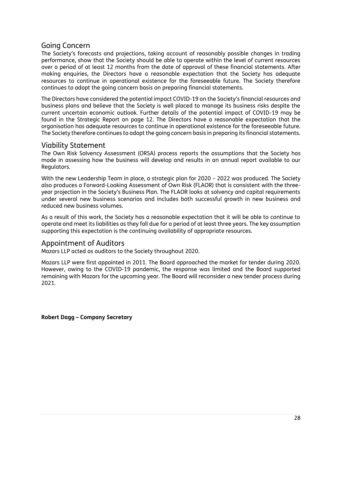## Going Concern

The Society's forecasts and projections, taking account of reasonably possible changes in trading performance, show that the Society should be able to operate within the level of current resources over a period of at least 12 months from the date of approval of these financial statements. After making enquiries, the Directors have a reasonable expectation that the Society has adequate resources to continue in operational existence for the foreseeable future. The Society therefore continues to adopt the going concern basis on preparing financial statements.

The Directors have considered the potential impact COVID-19 on the Society's financial resources and business plans and believe that the Society is well placed to manage its business risks despite the current uncertain economic outlook. Further details of the potential impact of COVID-19 may be found in the Strategic Report on page 12. The Directors have a reasonable expectation that the organisation has adequate resources to continue in operational existence for the foreseeable future. The Society therefore continues to adopt the going concern basis in preparing its financial statements.

## Viability Statement

The Own Risk Solvency Assessment (ORSA) process reports the assumptions that the Society has made in assessing how the business will develop and results in an annual report available to our Regulators.

With the new Leadership Team in place, a strategic plan for 2020 – 2022 was produced. The Society also produces a Forward-Looking Assessment of Own Risk (FLAOR) that is consistent with the threeyear projection in the Society's Business Plan. The FLAOR looks at solvency and capital requirements under several new business scenarios and includes both successful growth in new business and reduced new business volumes.

As a result of this work, the Society has a reasonable expectation that it will be able to continue to operate and meet its liabilities as they fall due for a period of at least three years. The key assumption supporting this expectation is the continuing availability of appropriate resources.

## Appointment of Auditors

Mazars LLP acted as auditors to the Society throughout 2020.

Mazars LLP were first appointed in 2011. The Board approached the market for tender during 2020. However, owing to the COVID-19 pandemic, the response was limited and the Board supported remaining with Mazars for the upcoming year. The Board will reconsider a new tender process during 2021.

**Robert Dagg – Company Secretary**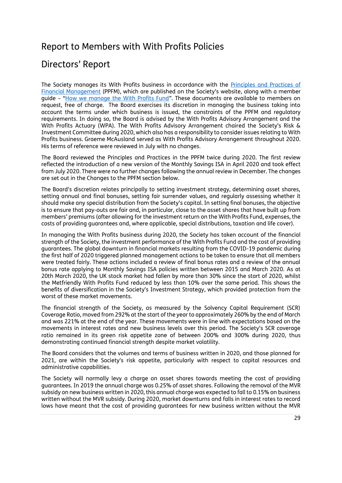## <span id="page-28-0"></span>Report to Members with With Profits Policies

## <span id="page-28-1"></span>Directors' Report

The Society manages its With Profits business in accordance with the [Principles and Practices of](https://www.metfriendly.org.uk/member-resources/your-society/with-profits/ppfm-principles-practices-financial-management/)  [Financial Management](https://www.metfriendly.org.uk/member-resources/your-society/with-profits/ppfm-principles-practices-financial-management/) (PPFM), which are published on the Society's website, along with a member guide – "[How we manage the With Profits Fund](https://www.metfriendly.org.uk/member-resources/your-society/with-profits/manage-profits-fund/)". These documents are available to members on request, free of charge. The Board exercises its discretion in managing the business taking into account the terms under which business is issued, the constraints of the PPFM and regulatory requirements. In doing so, the Board is advised by the With Profits Advisory Arrangement and the With Profits Actuary (WPA). The With Profits Advisory Arrangement chaired the Society's Risk & Investment Committee during 2020, which also has a responsibility to consider issues relating to With Profits business. Graeme McAusland served as With Profits Advisory Arrangement throughout 2020. His terms of reference were reviewed in July with no changes.

The Board reviewed the Principles and Practices in the PPFM twice during 2020. The first review reflected the introduction of a new version of the Monthly Savings ISA in April 2020 and took effect from July 2020. There were no further changes following the annual review in December. The changes are set out in the Changes to the PPFM section below.

The Board's discretion relates principally to setting investment strategy, determining asset shares, setting annual and final bonuses, setting fair surrender values, and regularly assessing whether it should make any special distribution from the Society's capital. In setting final bonuses, the objective is to ensure that pay-outs are fair and, in particular, close to the asset shares that have built up from members' premiums (after allowing for the investment return on the With Profits Fund, expenses, the costs of providing guarantees and, where applicable, special distributions, taxation and life cover).

In managing the With Profits business during 2020, the Society has taken account of the financial strength of the Society, the investment performance of the With Profits Fund and the cost of providing guarantees. The global downturn in financial markets resulting from the COVID-19 pandemic during the first half of 2020 triggered planned management actions to be taken to ensure that all members were treated fairly. These actions included a review of final bonus rates and a review of the annual bonus rate applying to Monthly Savings ISA policies written between 2015 and March 2020. As at 20th March 2020, the UK stock market had fallen by more than 30% since the start of 2020, whilst the Metfriendly With Profits Fund reduced by less than 10% over the same period. This shows the benefits of diversification in the Society's Investment Strategy, which provided protection from the worst of these market movements.

The financial strength of the Society, as measured by the Solvency Capital Requirement (SCR) Coverage Ratio, moved from 292% at the start of the year to approximately 260% by the end of March and was 221% at the end of the year. These movements were in line with expectations based on the movements in interest rates and new business levels over this period. The Society's SCR coverage ratio remained in its green risk appetite zone of between 200% and 300% during 2020, thus demonstrating continued financial strength despite market volatility.

The Board considers that the volumes and terms of business written in 2020, and those planned for 2021, are within the Society's risk appetite, particularly with respect to capital resources and administrative capabilities.

The Society will normally levy a charge on asset shares towards meeting the cost of providing guarantees. In 2019 the annual charge was 0.25% of asset shares. Following the removal of the MVR subsidy on new business written in 2020, this annual charge was expected to fall to 0.15% on business written without the MVR subsidy. During 2020, market downturns and falls in interest rates to record lows have meant that the cost of providing guarantees for new business written without the MVR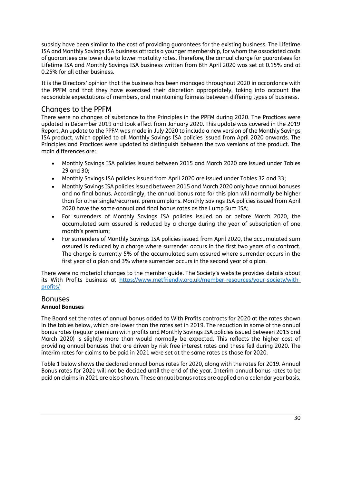subsidy have been similar to the cost of providing guarantees for the existing business. The Lifetime ISA and Monthly Savings ISA business attracts a younger membership, for whom the associated costs of guarantees are lower due to lower mortality rates. Therefore, the annual charge for guarantees for Lifetime ISA and Monthly Savings ISA business written from 6th April 2020 was set at 0.15% and at 0.25% for all other business.

It is the Directors' opinion that the business has been managed throughout 2020 in accordance with the PPFM and that they have exercised their discretion appropriately, taking into account the reasonable expectations of members, and maintaining fairness between differing types of business.

## Changes to the PPFM

There were no changes of substance to the Principles in the PPFM during 2020. The Practices were updated in December 2019 and took effect from January 2020. This update was covered in the 2019 Report. An update to the PPFM was made in July 2020 to include a new version of the Monthly Savings ISA product, which applied to all Monthly Savings ISA policies issued from April 2020 onwards. The Principles and Practices were updated to distinguish between the two versions of the product. The main differences are:

- Monthly Savings ISA policies issued between 2015 and March 2020 are issued under Tables 29 and 30;
- Monthly Savings ISA policies issued from April 2020 are issued under Tables 32 and 33;
- Monthly Savings ISA policies issued between 2015 and March 2020 only have annual bonuses and no final bonus. Accordingly, the annual bonus rate for this plan will normally be higher than for other single/recurrent premium plans. Monthly Savings ISA policies issued from April 2020 have the same annual and final bonus rates as the Lump Sum ISA;
- For surrenders of Monthly Savings ISA policies issued on or before March 2020, the accumulated sum assured is reduced by a charge during the year of subscription of one month's premium;
- For surrenders of Monthly Savings ISA policies issued from April 2020, the accumulated sum assured is reduced by a charge where surrender occurs in the first two years of a contract. The charge is currently 5% of the accumulated sum assured where surrender occurs in the first year of a plan and 3% where surrender occurs in the second year of a plan.

There were no material changes to the member guide. The Society's website provides details about its With Profits business at [https://www.metfriendly.org.uk/member-resources/your-society/with](https://www.metfriendly.org.uk/member-resources/your-society/with-profits/)[profits/](https://www.metfriendly.org.uk/member-resources/your-society/with-profits/)

#### **Bonuses Annual Bonuses**

The Board set the rates of annual bonus added to With Profits contracts for 2020 at the rates shown in the tables below, which are lower than the rates set in 2019. The reduction in some of the annual bonus rates (regular premium with profits and Monthly Savings ISA policies issued between 2015 and March 2020) is slightly more than would normally be expected. This reflects the higher cost of providing annual bonuses that are driven by risk free interest rates and these fell during 2020. The interim rates for claims to be paid in 2021 were set at the same rates as those for 2020.

Table 1 below shows the declared annual bonus rates for 2020, along with the rates for 2019. Annual Bonus rates for 2021 will not be decided until the end of the year. Interim annual bonus rates to be paid on claims in 2021 are also shown. These annual bonus rates are applied on a calendar year basis.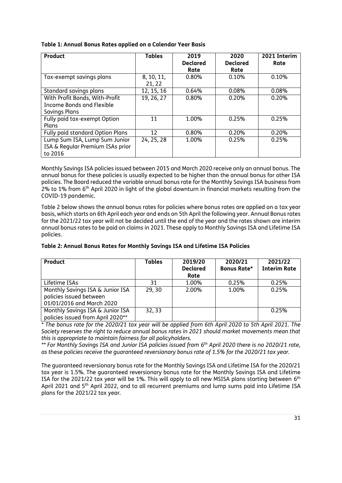| Product                                                                      | <b>Tables</b>        | 2019<br><b>Declared</b><br>Rate | 2020<br><b>Declared</b><br>Rate | 2021 Interim<br>Rate |
|------------------------------------------------------------------------------|----------------------|---------------------------------|---------------------------------|----------------------|
| Tax-exempt savings plans                                                     | 8, 10, 11,<br>21, 22 | 0.80%                           | 0.10%                           | 0.10%                |
| Standard savings plans                                                       | 12, 15, 16           | 0.64%                           | 0.08%                           | 0.08%                |
| With Profit Bonds, With-Profit<br>Income Bonds and Flexible<br>Savings Plans | 19, 26, 27           | 0.80%                           | 0.20%                           | 0.20%                |
| Fully paid tax-exempt Option<br>Plans                                        | 11                   | 1.00%                           | 0.25%                           | 0.25%                |
| Fully paid standard Option Plans                                             | 12                   | 0.80%                           | 0.20%                           | 0.20%                |
| Lump Sum ISA, Lump Sum Junior<br>ISA & Regular Premium ISAs prior<br>to 2016 | 24, 25, 28           | 1.00%                           | 0.25%                           | 0.25%                |

## **Table 1: Annual Bonus Rates applied on a Calendar Year Basis**

Monthly Savings ISA policies issued between 2015 and March 2020 receive only an annual bonus. The annual bonus for these policies is usually expected to be higher than the annual bonus for other ISA policies. The Board reduced the variable annual bonus rate for the Monthly Savings ISA business from 2% to 1% from  $6<sup>th</sup>$  April 2020 in light of the global downturn in financial markets resulting from the COVID-19 pandemic.

Table 2 below shows the annual bonus rates for policies where bonus rates are applied on a tax year basis, which starts on 6th April each year and ends on 5th April the following year. Annual Bonus rates for the 2021/22 tax year will not be decided until the end of the year and the rates shown are interim annual bonus rates to be paid on claims in 2021. These apply to Monthly Savings ISA and Lifetime ISA policies.

| Product                                                                                  | <b>Tables</b> | 2019/20<br><b>Declared</b><br>Rate | 2020/21<br>Bonus Rate* | 2021/22<br><b>Interim Rate</b> |
|------------------------------------------------------------------------------------------|---------------|------------------------------------|------------------------|--------------------------------|
| Lifetime ISAs                                                                            | 31            | 1.00%                              | 0.25%                  | 0.25%                          |
| Monthly Savings ISA & Junior ISA<br>policies issued between<br>01/01/2016 and March 2020 | 29, 30        | 2.00%                              | 1.00%                  | 0.25%                          |
| Monthly Savings ISA & Junior ISA<br>policies issued from April 2020**                    | 32, 33        |                                    |                        | 0.25%                          |

*\* The bonus rate for the 2020/21 tax year will be applied from 6th April 2020 to 5th April 2021. The Society reserves the right to reduce annual bonus rates in 2021 should market movements mean that this is appropriate to maintain fairness for all policyholders.*

*\*\* For Monthly Savings ISA and Junior ISA policies issued from 6 th April 2020 there is no 2020/21 rate, as these policies receive the guaranteed reversionary bonus rate of 1.5% for the 2020/21 tax year.*

The guaranteed reversionary bonus rate for the Monthly Savings ISA and Lifetime ISA for the 2020/21 tax year is 1.5%. The guaranteed reversionary bonus rate for the Monthly Savings ISA and Lifetime ISA for the 2021/22 tax year will be 1%. This will apply to all new MSISA plans starting between  $6^{\text{th}}$ April 2021 and 5<sup>th</sup> April 2022, and to all recurrent premiums and lump sums paid into Lifetime ISA plans for the 2021/22 tax year.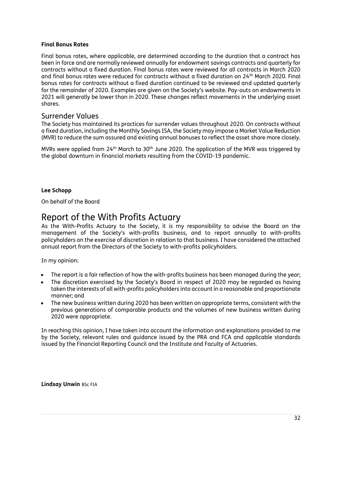#### **Final Bonus Rates**

Final bonus rates, where applicable, are determined according to the duration that a contract has been in force and are normally reviewed annually for endowment savings contracts and quarterly for contracts without a fixed duration. Final bonus rates were reviewed for all contracts in March 2020 and final bonus rates were reduced for contracts without a fixed duration on 24th March 2020. Final bonus rates for contracts without a fixed duration continued to be reviewed and updated quarterly for the remainder of 2020. Examples are given on the Society's website. Pay-outs on endowments in 2021 will generally be lower than in 2020. These changes reflect movements in the underlying asset shares.

## Surrender Values

The Society has maintained its practices for surrender values throughout 2020. On contracts without a fixed duration, including the Monthly Savings ISA, the Society may impose a Market Value Reduction (MVR) to reduce the sum assured and existing annual bonuses to reflect the asset share more closely.

MVRs were applied from 24<sup>th</sup> March to 30<sup>th</sup> June 2020. The application of the MVR was triggered by the global downturn in financial markets resulting from the COVID-19 pandemic.

#### **Lee Schopp**

On behalf of the Board

## <span id="page-31-0"></span>Report of the With Profits Actuary

As the With-Profits Actuary to the Society, it is my responsibility to advise the Board on the management of the Society's with-profits business, and to report annually to with-profits policyholders on the exercise of discretion in relation to that business. I have considered the attached annual report from the Directors of the Society to with-profits policyholders.

In my opinion:

- The report is a fair reflection of how the with-profits business has been managed during the year;
- The discretion exercised by the Society's Board in respect of 2020 may be regarded as having taken the interests of all with-profits policyholders into account in a reasonable and proportionate manner; and
- The new business written during 2020 has been written on appropriate terms, consistent with the previous generations of comparable products and the volumes of new business written during 2020 were appropriate.

In reaching this opinion, I have taken into account the information and explanations provided to me by the Society, relevant rules and guidance issued by the PRA and FCA and applicable standards issued by the Financial Reporting Council and the Institute and Faculty of Actuaries.

**Lindsay Unwin** BSc FIA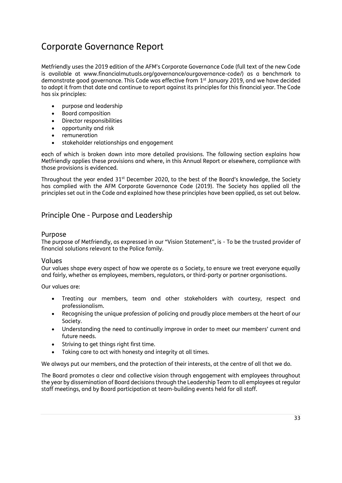## <span id="page-32-0"></span>Corporate Governance Report

Metfriendly uses the 2019 edition of the AFM's Corporate Governance Code (full text of the new Code is available at www.financialmutuals.org/governance/ourgovernance-code/) as a benchmark to demonstrate good governance. This Code was effective from 1 st January 2019, and we have decided to adopt it from that date and continue to report against its principles for this financial year. The Code has six principles:

- purpose and leadership
- Board composition
- Director responsibilities
- opportunity and risk
- remuneration
- stakeholder relationships and engagement

each of which is broken down into more detailed provisions. The following section explains how Metfriendly applies these provisions and where, in this Annual Report or elsewhere, compliance with those provisions is evidenced.

Throughout the year ended 31<sup>st</sup> December 2020, to the best of the Board's knowledge, the Society has complied with the AFM Corporate Governance Code (2019). The Society has applied all the principles set out in the Code and explained how these principles have been applied, as set out below.

## Principle One - Purpose and Leadership

### Purpose

The purpose of Metfriendly, as expressed in our "Vision Statement", is - To be the trusted provider of financial solutions relevant to the Police family.

### Values

Our values shape every aspect of how we operate as a Society, to ensure we treat everyone equally and fairly, whether as employees, members, regulators, or third-party or partner organisations.

Our values are:

- Treating our members, team and other stakeholders with courtesy, respect and professionalism.
- Recognising the unique profession of policing and proudly place members at the heart of our Society.
- Understanding the need to continually improve in order to meet our members' current and future needs.
- Striving to get things right first time.
- Taking care to act with honesty and integrity at all times.

We always put our members, and the protection of their interests, at the centre of all that we do.

The Board promotes a clear and collective vision through engagement with employees throughout the year by dissemination of Board decisions through the Leadership Team to all employees at regular staff meetings, and by Board participation at team-building events held for all staff.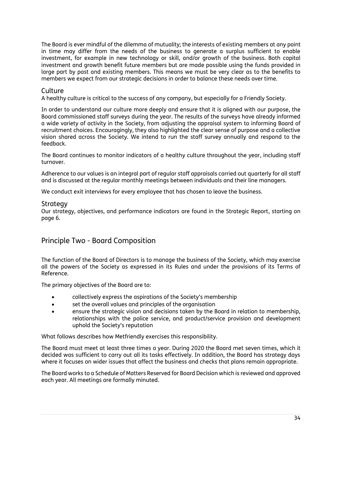The Board is ever mindful of the dilemma of mutuality; the interests of existing members at any point in time may differ from the needs of the business to generate a surplus sufficient to enable investment, for example in new technology or skill, and/or growth of the business. Both capital investment and growth benefit future members but are made possible using the funds provided in large part by past and existing members. This means we must be very clear as to the benefits to members we expect from our strategic decisions in order to balance these needs over time.

#### **Culture**

A healthy culture is critical to the success of any company, but especially for a Friendly Society.

In order to understand our culture more deeply and ensure that it is aligned with our purpose, the Board commissioned staff surveys during the year. The results of the surveys have already informed a wide variety of activity in the Society, from adjusting the appraisal system to informing Board of recruitment choices. Encouragingly, they also highlighted the clear sense of purpose and a collective vision shared across the Society. We intend to run the staff survey annually and respond to the feedback.

The Board continues to monitor indicators of a healthy culture throughout the year, including staff turnover.

Adherence to our values is an integral part of regular staff appraisals carried out quarterly for all staff and is discussed at the regular monthly meetings between individuals and their line managers.

We conduct exit interviews for every employee that has chosen to leave the business.

#### **Strategy**

Our strategy, objectives, and performance indicators are found in the Strategic Report, starting on page 6.

## Principle Two - Board Composition

The function of the Board of Directors is to manage the business of the Society, which may exercise all the powers of the Society as expressed in its Rules and under the provisions of its Terms of Reference.

The primary objectives of the Board are to:

- collectively express the aspirations of the Society's membership
- set the overall values and principles of the organisation
- ensure the strategic vision and decisions taken by the Board in relation to membership, relationships with the police service, and product/service provision and development uphold the Society's reputation

What follows describes how Metfriendly exercises this responsibility.

The Board must meet at least three times a year. During 2020 the Board met seven times, which it decided was sufficient to carry out all its tasks effectively. In addition, the Board has strategy days where it focuses on wider issues that affect the business and checks that plans remain appropriate.

The Board works to a Schedule of Matters Reserved for Board Decision which is reviewed and approved each year. All meetings are formally minuted.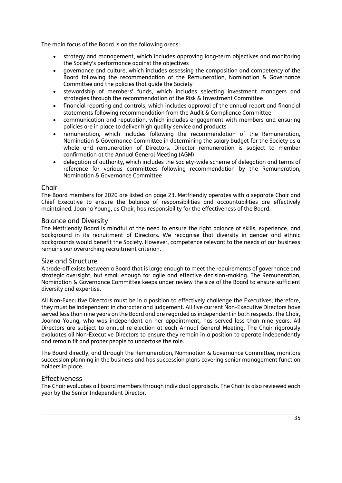The main focus of the Board is on the following areas:

- strategy and management, which includes approving long-term objectives and monitoring the Society's performance against the objectives
- governance and culture, which includes assessing the composition and competency of the Board following the recommendation of the Remuneration, Nomination & Governance Committee and the policies that guide the Society
- stewardship of members' funds, which includes selecting investment managers and strategies through the recommendation of the Risk & Investment Committee
- financial reporting and controls, which includes approval of the annual report and financial statements following recommendation from the Audit & Compliance Committee
- communication and reputation, which includes engagement with members and ensuring policies are in place to deliver high quality service and products
- remuneration, which includes following the recommendation of the Remuneration, Nomination & Governance Committee in determining the salary budget for the Society as a whole and remuneration of Directors. Director remuneration is subject to member confirmation at the Annual General Meeting (AGM)
- delegation of authority, which includes the Society-wide scheme of delegation and terms of reference for various committees following recommendation by the Remuneration, Nomination & Governance Committee

### Chair

The Board members for 2020 are listed on page 23. Metfriendly operates with a separate Chair and Chief Executive to ensure the balance of responsibilities and accountabilities are effectively maintained. Joanna Young, as Chair, has responsibility for the effectiveness of the Board.

#### Balance and Diversity

The Metfriendly Board is mindful of the need to ensure the right balance of skills, experience, and background in its recruitment of Directors. We recognise that diversity in gender and ethnic backgrounds would benefit the Society. However, competence relevant to the needs of our business remains our overarching recruitment criterion.

#### Size and Structure

A trade-off exists between a Board that is large enough to meet the requirements of governance and strategic oversight, but small enough for agile and effective decision-making. The Remuneration, Nomination & Governance Committee keeps under review the size of the Board to ensure sufficient diversity and expertise.

All Non-Executive Directors must be in a position to effectively challenge the Executives; therefore, they must be independent in character and judgement. All five current Non-Executive Directors have served less than nine years on the Board and are regarded as independent in both respects. The Chair, Joanna Young, who was independent on her appointment, has served less than nine years. All Directors are subject to annual re-election at each Annual General Meeting. The Chair rigorously evaluates all Non-Executive Directors to ensure they remain in a position to operate independently and remain fit and proper people to undertake the role.

The Board directly, and through the Remuneration, Nomination & Governance Committee, monitors succession planning in the business and has succession plans covering senior management function holders in place.

### **Effectiveness**

The Chair evaluates all board members through individual appraisals. The Chair is also reviewed each year by the Senior Independent Director.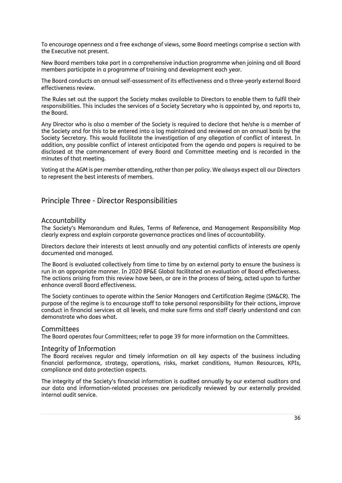To encourage openness and a free exchange of views, some Board meetings comprise a section with the Executive not present.

New Board members take part in a comprehensive induction programme when joining and all Board members participate in a programme of training and development each year.

The Board conducts an annual self-assessment of its effectiveness and a three-yearly external Board effectiveness review.

The Rules set out the support the Society makes available to Directors to enable them to fulfil their responsibilities. This includes the services of a Society Secretary who is appointed by, and reports to, the Board.

Any Director who is also a member of the Society is required to declare that he/she is a member of the Society and for this to be entered into a log maintained and reviewed on an annual basis by the Society Secretary. This would facilitate the investigation of any allegation of conflict of interest. In addition, any possible conflict of interest anticipated from the agenda and papers is required to be disclosed at the commencement of every Board and Committee meeting and is recorded in the minutes of that meeting.

Voting at the AGM is per member attending, rather than per policy. We always expect all our Directors to represent the best interests of members.

## Principle Three - Director Responsibilities

#### Accountability

The Society's Memorandum and Rules, Terms of Reference, and Management Responsibility Map clearly express and explain corporate governance practices and lines of accountability.

Directors declare their interests at least annually and any potential conflicts of interests are openly documented and managed.

The Board is evaluated collectively from time to time by an external party to ensure the business is run in an appropriate manner. In 2020 BP&E Global facilitated an evaluation of Board effectiveness. The actions arising from this review have been, or are in the process of being, acted upon to further enhance overall Board effectiveness.

The Society continues to operate within the Senior Managers and Certification Regime (SM&CR). The purpose of the regime is to encourage staff to take personal responsibility for their actions, improve conduct in financial services at all levels, and make sure firms and staff clearly understand and can demonstrate who does what.

#### Committees

The Board operates four Committees; refer to page 39 for more information on the Committees.

#### Integrity of Information

The Board receives regular and timely information on all key aspects of the business including financial performance, strategy, operations, risks, market conditions, Human Resources, KPIs, compliance and data protection aspects.

The integrity of the Society's financial information is audited annually by our external auditors and our data and information-related processes are periodically reviewed by our externally provided internal audit service.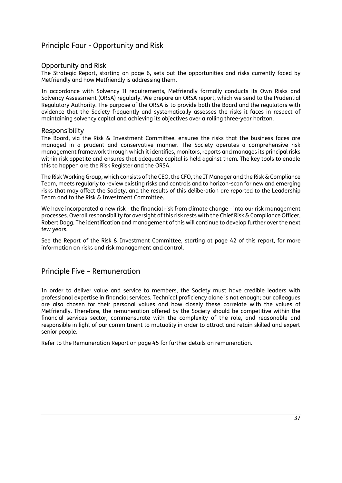## Principle Four - Opportunity and Risk

#### Opportunity and Risk

The Strategic Report, starting on page 6, sets out the opportunities and risks currently faced by Metfriendly and how Metfriendly is addressing them.

In accordance with Solvency II requirements, Metfriendly formally conducts its Own Risks and Solvency Assessment (ORSA) regularly. We prepare an ORSA report, which we send to the Prudential Regulatory Authority. The purpose of the ORSA is to provide both the Board and the regulators with evidence that the Society frequently and systematically assesses the risks it faces in respect of maintaining solvency capital and achieving its objectives over a rolling three-year horizon.

#### Responsibility

The Board, via the Risk & Investment Committee, ensures the risks that the business faces are managed in a prudent and conservative manner. The Society operates a comprehensive risk management framework through which it identifies, monitors, reports and manages its principal risks within risk appetite and ensures that adequate capital is held against them. The key tools to enable this to happen are the Risk Register and the ORSA.

The Risk Working Group, which consists of the CEO, the CFO, the IT Manager and the Risk & Compliance Team, meets regularly to review existing risks and controls and to horizon-scan for new and emerging risks that may affect the Society, and the results of this deliberation are reported to the Leadership Team and to the Risk & Investment Committee.

We have incorporated a new risk - the financial risk from climate change - into our risk management processes. Overall responsibility for oversight of this risk rests with the Chief Risk & Compliance Officer, Robert Dagg. The identification and management of this will continue to develop further over the next few years.

See the Report of the Risk & Investment Committee, starting at page 42 of this report, for more information on risks and risk management and control.

## Principle Five – Remuneration

In order to deliver value and service to members, the Society must have credible leaders with professional expertise in financial services. Technical proficiency alone is not enough; our colleagues are also chosen for their personal values and how closely these correlate with the values of Metfriendly. Therefore, the remuneration offered by the Society should be competitive within the financial services sector, commensurate with the complexity of the role, and reasonable and responsible in light of our commitment to mutuality in order to attract and retain skilled and expert senior people.

Refer to the Remuneration Report on page 45 for further details on remuneration.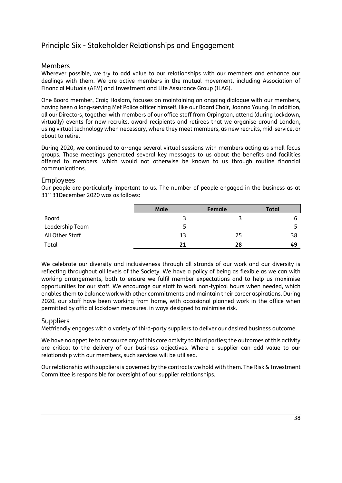# Principle Six - Stakeholder Relationships and Engagement

## Members

Wherever possible, we try to add value to our relationships with our members and enhance our dealings with them. We are active members in the mutual movement, including Association of Financial Mutuals (AFM) and Investment and Life Assurance Group (ILAG).

One Board member, Craig Haslam, focuses on maintaining an ongoing dialogue with our members, having been a long-serving Met Police officer himself, like our Board Chair, Joanna Young. In addition, all our Directors, together with members of our office staff from Orpington, attend (during lockdown, virtually) events for new recruits, award recipients and retirees that we organise around London, using virtual technology when necessary, where they meet members, as new recruits, mid-service, or about to retire.

During 2020, we continued to arrange several virtual sessions with members acting as small focus groups. Those meetings generated several key messages to us about the benefits and facilities offered to members, which would not otherwise be known to us through routine financial communications.

#### Employees

Our people are particularly important to us. The number of people engaged in the business as at 31st 31December 2020 was as follows:

|                 | Male | Female | Total |
|-----------------|------|--------|-------|
| Board           |      |        |       |
| Leadership Team |      | -      |       |
| All Other Staff | 13   | 25     | 38    |
| Total           | 21   | 28     | 49    |

We celebrate our diversity and inclusiveness through all strands of our work and our diversity is reflecting throughout all levels of the Society. We have a policy of being as flexible as we can with working arrangements, both to ensure we fulfil member expectations and to help us maximise opportunities for our staff. We encourage our staff to work non-typical hours when needed, which enables them to balance work with other commitments and maintain their career aspirations. During 2020, our staff have been working from home, with occasional planned work in the office when permitted by official lockdown measures, in ways designed to minimise risk.

#### **Suppliers**

Metfriendly engages with a variety of third-party suppliers to deliver our desired business outcome.

We have no appetite to outsource any of this core activity to third parties; the outcomes of this activity are critical to the delivery of our business objectives. Where a supplier can add value to our relationship with our members, such services will be utilised.

Our relationship with suppliers is governed by the contracts we hold with them. The Risk & Investment Committee is responsible for oversight of our supplier relationships.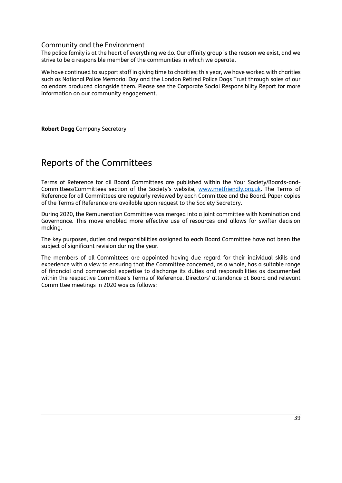## Community and the Environment

The police family is at the heart of everything we do. Our affinity group is the reason we exist, and we strive to be a responsible member of the communities in which we operate.

We have continued to support staff in giving time to charities; this year, we have worked with charities such as National Police Memorial Day and the London Retired Police Dogs Trust through sales of our calendars produced alongside them. Please see the Corporate Social Responsibility Report for more information on our community engagement.

**Robert Dagg** Company Secretary

# Reports of the Committees

Terms of Reference for all Board Committees are published within the Your Society/Boards-and-Committees/Committees section of the Society's website, [www.metfriendly.org.uk.](http://www.metfriendly.org.uk/) The Terms of Reference for all Committees are regularly reviewed by each Committee and the Board. Paper copies of the Terms of Reference are available upon request to the Society Secretary.

During 2020, the Remuneration Committee was merged into a joint committee with Nomination and Governance. This move enabled more effective use of resources and allows for swifter decision making.

The key purposes, duties and responsibilities assigned to each Board Committee have not been the subject of significant revision during the year.

The members of all Committees are appointed having due regard for their individual skills and experience with a view to ensuring that the Committee concerned, as a whole, has a suitable range of financial and commercial expertise to discharge its duties and responsibilities as documented within the respective Committee's Terms of Reference. Directors' attendance at Board and relevant Committee meetings in 2020 was as follows: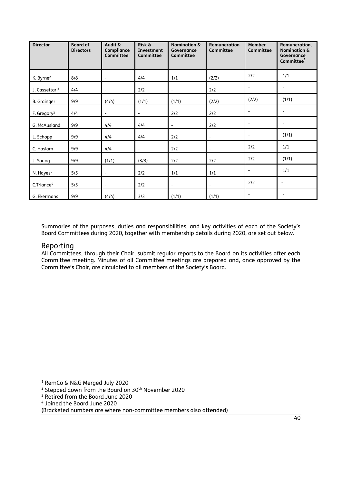| <b>Director</b>            | <b>Board of</b><br><b>Directors</b> | Audit &<br>Compliance<br>Committee | Risk &<br>Investment<br><b>Committee</b> | <b>Nomination &amp;</b><br>Governance<br><b>Committee</b> | <b>Remuneration</b><br><b>Committee</b> | <b>Member</b><br><b>Committee</b> | Remuneration,<br><b>Nomination &amp;</b><br>Governance<br>Committee <sup>1</sup> |
|----------------------------|-------------------------------------|------------------------------------|------------------------------------------|-----------------------------------------------------------|-----------------------------------------|-----------------------------------|----------------------------------------------------------------------------------|
| K. Byrne <sup>2</sup>      | 8/8                                 | $\overline{\phantom{a}}$           | 4/4                                      | 1/1                                                       | (2/2)                                   | 2/2                               | 1/1                                                                              |
| J. Cassettari <sup>3</sup> | 4/4                                 | $\overline{\phantom{a}}$           | 2/2                                      | $\overline{\phantom{0}}$                                  | 2/2                                     | $\overline{\phantom{a}}$          | $\overline{\phantom{a}}$                                                         |
| <b>B.</b> Grainger         | 9/9                                 | (4/4)                              | (1/1)                                    | (1/1)                                                     | (2/2)                                   | (2/2)                             | (1/1)                                                                            |
| F. Gregory <sup>3</sup>    | 4/4                                 | $\overline{\phantom{a}}$           | $\overline{\phantom{a}}$                 | 2/2                                                       | 2/2                                     | $\overline{\phantom{a}}$          | $\overline{\phantom{a}}$                                                         |
| G. McAusland               | 9/9                                 | 4/4                                | 4/4                                      | $\overline{\phantom{0}}$                                  | 2/2                                     |                                   |                                                                                  |
| L. Schopp                  | 9/9                                 | 4/4                                | 4/4                                      | 2/2                                                       | $\overline{\phantom{a}}$                | $\qquad \qquad \blacksquare$      | (1/1)                                                                            |
| C. Haslam                  | 9/9                                 | 4/4                                | $\overline{\phantom{a}}$                 | 2/2                                                       | $\overline{\phantom{a}}$                | 2/2                               | 1/1                                                                              |
| J. Young                   | 9/9                                 | (1/1)                              | (3/3)                                    | 2/2                                                       | 2/2                                     | 2/2                               | (1/1)                                                                            |
| N. Hayes <sup>4</sup>      | 5/5                                 | $\overline{\phantom{a}}$           | 2/2                                      | 1/1                                                       | 1/1                                     | $\overline{\phantom{a}}$          | 1/1                                                                              |
| C.Triance <sup>4</sup>     | 5/5                                 | $\overline{\phantom{a}}$           | 2/2                                      | $\overline{\phantom{a}}$                                  | $\overline{\phantom{a}}$                | 2/2                               | $\overline{\phantom{a}}$                                                         |
| G. Ekermans                | 9/9                                 | (4/4)                              | 3/3                                      | (1/1)                                                     | (1/1)                                   | $\overline{\phantom{a}}$          |                                                                                  |

Summaries of the purposes, duties and responsibilities, and key activities of each of the Society's Board Committees during 2020, together with membership details during 2020, are set out below.

## Reporting

All Committees, through their Chair, submit regular reports to the Board on its activities after each Committee meeting. Minutes of all Committee meetings are prepared and, once approved by the Committee's Chair, are circulated to all members of the Society's Board.

<sup>1</sup> RemCo & N&G Merged July 2020

<sup>&</sup>lt;sup>2</sup> Stepped down from the Board on 30<sup>th</sup> November 2020

<sup>&</sup>lt;sup>3</sup> Retired from the Board June 2020

<sup>4</sup> Joined the Board June 2020

<sup>(</sup>Bracketed numbers are where non-committee members also attended)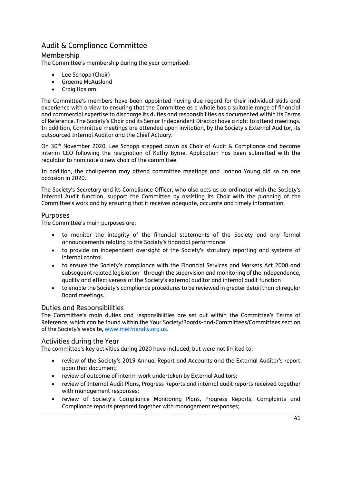# Audit & Compliance Committee

## Membership

The Committee's membership during the year comprised:

- Lee Schopp (Chair)
- Graeme McAusland
- Craig Haslam

The Committee's members have been appointed having due regard for their individual skills and experience with a view to ensuring that the Committee as a whole has a suitable range of financial and commercial expertise to discharge its duties and responsibilities as documented within its Terms of Reference. The Society's Chair and its Senior Independent Director have a right to attend meetings. In addition, Committee meetings are attended upon invitation, by the Society's External Auditor, its outsourced Internal Auditor and the Chief Actuary.

On 30th November 2020, Lee Schopp stepped down as Chair of Audit & Compliance and became interim CEO following the resignation of Kathy Byrne. Application has been submitted with the regulator to nominate a new chair of the committee.

In addition, the chairperson may attend committee meetings and Joanna Young did so on one occasion in 2020.

The Society's Secretary and its Compliance Officer, who also acts as co-ordinator with the Society's Internal Audit function, support the Committee by assisting its Chair with the planning of the Committee's work and by ensuring that it receives adequate, accurate and timely information.

## Purposes

The Committee's main purposes are:

- to monitor the integrity of the financial statements of the Society and any formal announcements relating to the Society's financial performance
- to provide an independent oversight of the Society's statutory reporting and systems of internal control
- to ensure the Society's compliance with the Financial Services and Markets Act 2000 and subsequent related legislation - through the supervision and monitoring of the independence, quality and effectiveness of the Society's external auditor and internal audit function
- to enable the Society's compliance procedures to be reviewed in greater detail than at regular Board meetings.

## Duties and Responsibilities

The Committee's main duties and responsibilities are set out within the Committee's Terms of Reference, which can be found within the Your Society/Boards-and-Committees/Committees section of the Society's website, [www.metfriendly.org.uk.](http://www.metfriendly.org.uk/)

## Activities during the Year

The committee's key activities during 2020 have included, but were not limited to:-

- review of the Society's 2019 Annual Report and Accounts and the External Auditor's report upon that document;
- review of outcome of interim work undertaken by External Auditors;
- review of Internal Audit Plans, Progress Reports and internal audit reports received together with management responses;
- review of Society's Compliance Monitoring Plans, Progress Reports, Complaints and Compliance reports prepared together with management responses;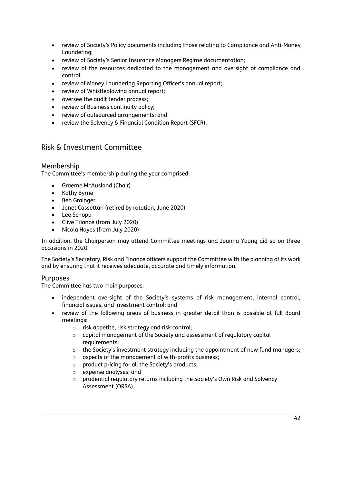- review of Society's Policy documents including those relating to Compliance and Anti-Money Laundering;
- review of Society's Senior Insurance Managers Regime documentation;
- review of the resources dedicated to the management and oversight of compliance and control;
- review of Money Laundering Reporting Officer's annual report;
- review of Whistleblowing annual report;
- oversee the audit tender process;
- review of Business continuity policy;
- review of outsourced arrangements; and
- review the Solvency & Financial Condition Report (SFCR).

# Risk & Investment Committee

## Membership

The Committee's membership during the year comprised:

- Graeme McAusland (Chair)
- Kathy Byrne
- Ben Grainger
- Janet Cassettari (retired by rotation, June 2020)
- Lee Schopp
- Clive Triance (from July 2020)
- Nicola Hayes (from July 2020)

In addition, the Chairperson may attend Committee meetings and Joanna Young did so on three occasions in 2020.

The Society's Secretary, Risk and Finance officers support the Committee with the planning of its work and by ensuring that it receives adequate, accurate and timely information.

## Purposes

The Committee has two main purposes:

- independent oversight of the Society's systems of risk management, internal control, financial issues, and investment control; and
- review of the following areas of business in greater detail than is possible at full Board meetings:
	- o risk appetite, risk strategy and risk control;
	- o capital management of the Society and assessment of regulatory capital requirements;
	- $\circ$  the Society's investment strategy including the appointment of new fund managers;
	- o aspects of the management of with-profits business;
	- o product pricing for all the Society's products;
	- o expense analyses; and
	- o prudential regulatory returns including the Society's Own Risk and Solvency Assessment (ORSA).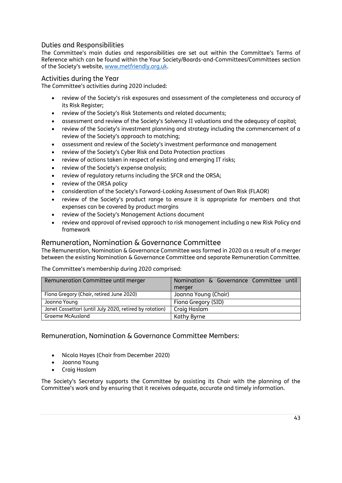## Duties and Responsibilities

The Committee's main duties and responsibilities are set out within the Committee's Terms of Reference which can be found within the Your Society/Boards-and-Committees/Committees section of the Society's website, [www.metfriendly.org.uk.](http://www.metfriendly.org.uk/)

## Activities during the Year

The Committee's activities during 2020 included:

- review of the Society's risk exposures and assessment of the completeness and accuracy of its Risk Register;
- review of the Society's Risk Statements and related documents;
- assessment and review of the Society's Solvency II valuations and the adequacy of capital;
- review of the Society's investment planning and strategy including the commencement of a review of the Society's approach to matching;
- assessment and review of the Society's investment performance and management
- review of the Society's Cyber Risk and Data Protection practices
- review of actions taken in respect of existing and emerging IT risks;
- review of the Society's expense analysis;
- review of regulatory returns including the SFCR and the ORSA;
- review of the ORSA policy
- consideration of the Society's Forward-Looking Assessment of Own Risk (FLAOR)
- review of the Society's product range to ensure it is appropriate for members and that expenses can be covered by product margins
- review of the Society's Management Actions document
- review and approval of revised approach to risk management including a new Risk Policy and framework

## Remuneration, Nomination & Governance Committee

The Remuneration, Nomination & Governance Committee was formed in 2020 as a result of a merger between the existing Nomination & Governance Committee and separate Remuneration Committee.

The Committee's membership during 2020 comprised:

| Remuneration Committee until merger                     | Nomination & Governance Committee until |
|---------------------------------------------------------|-----------------------------------------|
|                                                         | merger                                  |
| Fiona Gregory (Chair, retired June 2020)                | Joanna Young (Chair)                    |
| Joanna Young                                            | Fiona Gregory (SID)                     |
| Janet Cassettari (until July 2020, retired by rotation) | Craig Haslam                            |
| <b>Graeme McAusland</b>                                 | Kathy Byrne                             |

Remuneration, Nomination & Governance Committee Members:

- Nicola Hayes (Chair from December 2020)
- Joanna Young
- Craig Haslam

The Society's Secretary supports the Committee by assisting its Chair with the planning of the Committee's work and by ensuring that it receives adequate, accurate and timely information.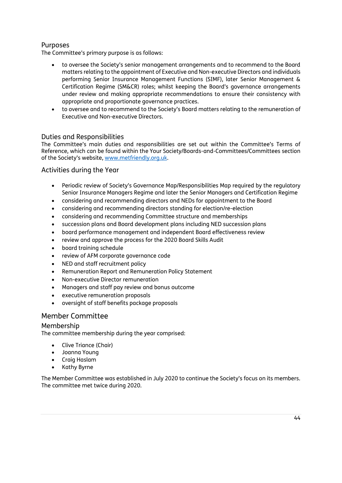## Purposes

The Committee's primary purpose is as follows:

- to oversee the Society's senior management arrangements and to recommend to the Board matters relating to the appointment of Executive and Non-executive Directors and individuals performing Senior Insurance Management Functions (SIMF), later Senior Management & Certification Regime (SM&CR) roles; whilst keeping the Board's governance arrangements under review and making appropriate recommendations to ensure their consistency with appropriate and proportionate governance practices.
- to oversee and to recommend to the Society's Board matters relating to the remuneration of Executive and Non-executive Directors.

## Duties and Responsibilities

The Committee's main duties and responsibilities are set out within the Committee's Terms of Reference, which can be found within the Your Society/Boards-and-Committees/Committees section of the Society's website, [www.metfriendly.org.uk.](http://www.metfriendly.org.uk/)

## Activities during the Year

- Periodic review of Society's Governance Map/Responsibilities Map required by the regulatory Senior Insurance Managers Regime and later the Senior Managers and Certification Regime
- considering and recommending directors and NEDs for appointment to the Board
- considering and recommending directors standing for election/re-election
- considering and recommending Committee structure and memberships
- succession plans and Board development plans including NED succession plans
- board performance management and independent Board effectiveness review
- review and approve the process for the 2020 Board Skills Audit
- board training schedule
- review of AFM corporate governance code
- NED and staff recruitment policy
- Remuneration Report and Remuneration Policy Statement
- Non-executive Director remuneration
- Managers and staff pay review and bonus outcome
- executive remuneration proposals
- oversight of staff benefits package proposals

## Member Committee

## Membership

The committee membership during the year comprised:

- Clive Triance (Chair)
- Joanna Young
- Craig Haslam
- Kathy Byrne

The Member Committee was established in July 2020 to continue the Society's focus on its members. The committee met twice during 2020.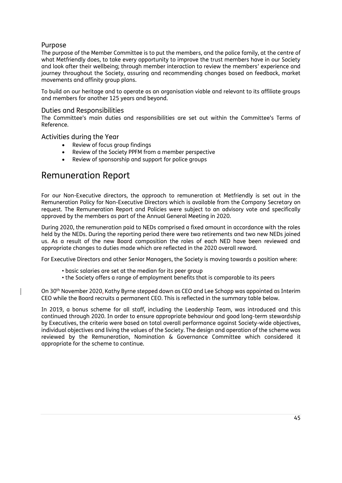## Purpose

The purpose of the Member Committee is to put the members, and the police family, at the centre of what Metfriendly does, to take every opportunity to improve the trust members have in our Society and look after their wellbeing; through member interaction to review the members' experience and journey throughout the Society, assuring and recommending changes based on feedback, market movements and affinity group plans.

To build on our heritage and to operate as an organisation viable and relevant to its affiliate groups and members for another 125 years and beyond.

#### Duties and Responsibilities

The Committee's main duties and responsibilities are set out within the Committee's Terms of Reference.

Activities during the Year

- Review of focus group findings
- Review of the Society PPFM from a member perspective
- Review of sponsorship and support for police groups

# Remuneration Report

For our Non-Executive directors, the approach to remuneration at Metfriendly is set out in the Remuneration Policy for Non-Executive Directors which is available from the Company Secretary on request. The Remuneration Report and Policies were subject to an advisory vote and specifically approved by the members as part of the Annual General Meeting in 2020.

During 2020, the remuneration paid to NEDs comprised a fixed amount in accordance with the roles held by the NEDs. During the reporting period there were two retirements and two new NEDs joined us. As a result of the new Board composition the roles of each NED have been reviewed and appropriate changes to duties made which are reflected in the 2020 overall reward.

For Executive Directors and other Senior Managers, the Society is moving towards a position where:

- basic salaries are set at the median for its peer group
- the Society offers a range of employment benefits that is comparable to its peers

On 30th November 2020, Kathy Byrne stepped down as CEO and Lee Schopp was appointed as Interim CEO while the Board recruits a permanent CEO. This is reflected in the summary table below.

In 2019, a bonus scheme for all staff, including the Leadership Team, was introduced and this continued through 2020. In order to ensure appropriate behaviour and good long-term stewardship by Executives, the criteria were based on total overall performance against Society-wide objectives, individual objectives and living the values of the Society. The design and operation of the scheme was reviewed by the Remuneration, Nomination & Governance Committee which considered it appropriate for the scheme to continue.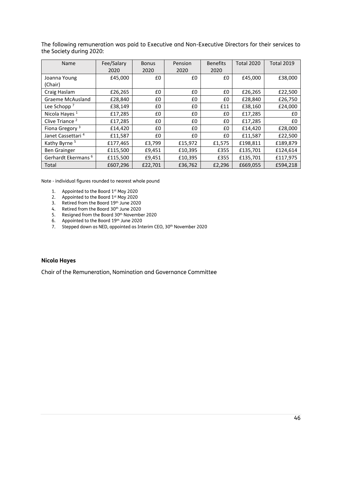The following remuneration was paid to Executive and Non-Executive Directors for their services to the Society during 2020:

| Name                           | Fee/Salary | <b>Bonus</b> | Pension | <b>Benefits</b> | <b>Total 2020</b> | <b>Total 2019</b> |
|--------------------------------|------------|--------------|---------|-----------------|-------------------|-------------------|
|                                | 2020       | 2020         | 2020    | 2020            |                   |                   |
| Joanna Young                   | £45,000    | £0           | £0      | £0              | £45,000           | £38,000           |
| (Chair)                        |            |              |         |                 |                   |                   |
| Craig Haslam                   | £26,265    | £0           | £0      | £0              | £26,265           | £22,500           |
| <b>Graeme McAusland</b>        | £28,840    | £0           | £0      | £0              | £28,840           | £26,750           |
| Lee Schopp $7$                 | £38,149    | £0           | £0      | £11             | £38,160           | £24,000           |
| Nicola Hayes <sup>1</sup>      | £17,285    | £0           | £0      | £0              | £17,285           | £0                |
| Clive Triance <sup>2</sup>     | £17,285    | £0           | £0      | £0              | £17,285           | £0                |
| Fiona Gregory <sup>3</sup>     | £14,420    | £0           | £0      | £0              | £14,420           | £28,000           |
| Janet Cassettari <sup>4</sup>  | £11,587    | £0           | £0      | £0              | £11,587           | £22,500           |
| Kathy Byrne <sup>5</sup>       | £177,465   | £3,799       | £15,972 | £1,575          | £198,811          | £189,879          |
| <b>Ben Grainger</b>            | £115,500   | £9,451       | £10,395 | £355            | £135,701          | £124,614          |
| Gerhardt Ekermans <sup>6</sup> | £115,500   | £9,451       | £10,395 | £355            | £135,701          | £117,975          |
| Total                          | £607,296   | £22,701      | £36,762 | £2,296          | £669,055          | £594.218          |

Note - individual figures rounded to nearest whole pound

- 1. Appointed to the Board 1<sup>st</sup> May 2020
- 2. Appointed to the Board  $1<sup>st</sup>$  May 2020
- 3. Retired from the Board 19th June 2020
- 4. Retired from the Board 30<sup>th</sup> June 2020
- 5. Resigned from the Board 30<sup>th</sup> November 2020
- 6. Appointed to the Board 19th June 2020
- 7. Stepped down as NED, appointed as Interim CEO, 30<sup>th</sup> November 2020

#### **Nicola Hayes**

Chair of the Remuneration, Nomination and Governance Committee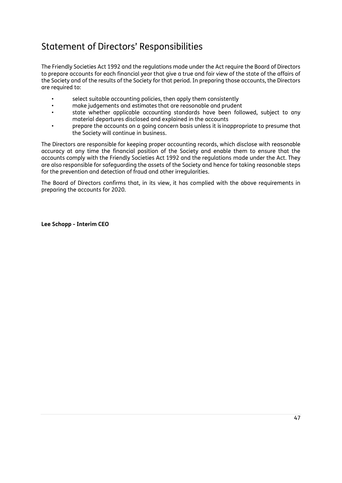# Statement of Directors' Responsibilities

The Friendly Societies Act 1992 and the regulations made under the Act require the Board of Directors to prepare accounts for each financial year that give a true and fair view of the state of the affairs of the Society and of the results of the Society for that period. In preparing those accounts, the Directors are required to:

- select suitable accounting policies, then apply them consistently
- make judgements and estimates that are reasonable and prudent
- state whether applicable accounting standards have been followed, subject to any material departures disclosed and explained in the accounts
- prepare the accounts on a going concern basis unless it is inappropriate to presume that the Society will continue in business.

The Directors are responsible for keeping proper accounting records, which disclose with reasonable accuracy at any time the financial position of the Society and enable them to ensure that the accounts comply with the Friendly Societies Act 1992 and the regulations made under the Act. They are also responsible for safeguarding the assets of the Society and hence for taking reasonable steps for the prevention and detection of fraud and other irregularities.

The Board of Directors confirms that, in its view, it has complied with the above requirements in preparing the accounts for 2020.

**Lee Schopp - Interim CEO**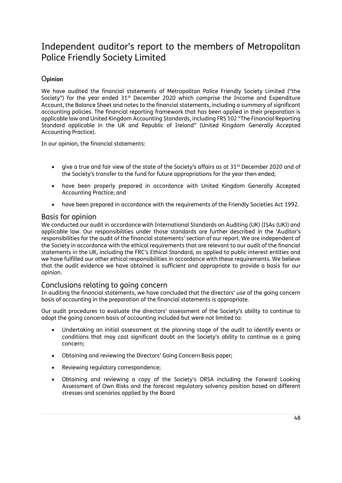# Independent auditor's report to the members of Metropolitan Police Friendly Society Limited

## O**pinion**

We have audited the financial statements of Metropolitan Police Friendly Society Limited ("the Society") for the year ended 31<sup>st</sup> December 2020 which comprise the Income and Expenditure Account, the Balance Sheet and notes to the financial statements, including a summary of significant accounting policies. The financial reporting framework that has been applied in their preparation is applicable law and United Kingdom Accounting Standards, including FRS 102 "The Financial Reporting Standard applicable in the UK and Republic of Ireland" (United Kingdom Generally Accepted Accounting Practice).

In our opinion, the financial statements:

- give a true and fair view of the state of the Society's affairs as at  $31<sup>st</sup>$  December 2020 and of the Society's transfer to the fund for future appropriations for the year then ended;
- have been properly prepared in accordance with United Kingdom Generally Accepted Accounting Practice; and
- have been prepared in accordance with the requirements of the Friendly Societies Act 1992.

## Basis for opinion

We conducted our audit in accordance with International Standards on Auditing (UK) (ISAs (UK)) and applicable law. Our responsibilities under those standards are further described in the 'Auditor's responsibilities for the audit of the financial statements' section of our report. We are independent of the Society in accordance with the ethical requirements that are relevant to our audit of the financial statements in the UK, including the FRC's Ethical Standard, as applied to public interest entities and we have fulfilled our other ethical responsibilities in accordance with these requirements. We believe that the audit evidence we have obtained is sufficient and appropriate to provide a basis for our opinion.

## Conclusions relating to going concern

In auditing the financial statements, we have concluded that the directors' use of the going concern basis of accounting in the preparation of the financial statements is appropriate.

Our audit procedures to evaluate the directors' assessment of the Society's ability to continue to adopt the going concern basis of accounting included but were not limited to:

- Undertaking an initial assessment at the planning stage of the audit to identify events or conditions that may cast significant doubt on the Society's ability to continue as a going concern;
- Obtaining and reviewing the Directors' Going Concern Basis paper;
- Reviewing regulatory correspondence;
- Obtaining and reviewing a copy of the Society's ORSA including the Forward Looking Assessment of Own Risks and the forecast regulatory solvency position based on different stresses and scenarios applied by the Board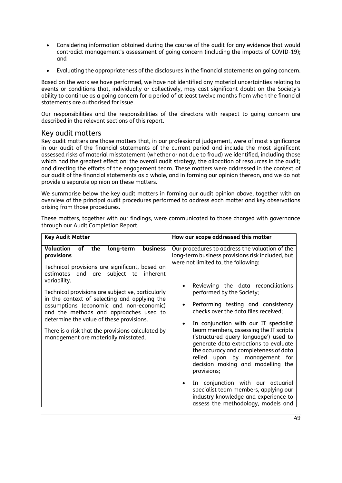- Considering information obtained during the course of the audit for any evidence that would contradict management's assessment of going concern (including the impacts of COVID-19); and
- Evaluating the appropriateness of the disclosures in the financial statements on going concern.

Based on the work we have performed, we have not identified any material uncertainties relating to events or conditions that, individually or collectively, may cast significant doubt on the Society's ability to continue as a going concern for a period of at least twelve months from when the financial statements are authorised for issue.

Our responsibilities and the responsibilities of the directors with respect to going concern are described in the relevant sections of this report.

## Key audit matters

Key audit matters are those matters that, in our professional judgement, were of most significance in our audit of the financial statements of the current period and include the most significant assessed risks of material misstatement (whether or not due to fraud) we identified, including those which had the greatest effect on: the overall audit strategy, the allocation of resources in the audit; and directing the efforts of the engagement team. These matters were addressed in the context of our audit of the financial statements as a whole, and in forming our opinion thereon, and we do not provide a separate opinion on these matters.

We summarise below the key audit matters in forming our audit opinion above, together with an overview of the principal audit procedures performed to address each matter and key observations arising from those procedures.

| <b>Key Audit Matter</b>                                                                                                                                                                                                                                                                                                                                                                                                                                                                                        | How our scope addressed this matter                                                                                                                                                                                                                                                                                                                                                                                                                                                                                                                                                                                                                                                                                                                                                      |
|----------------------------------------------------------------------------------------------------------------------------------------------------------------------------------------------------------------------------------------------------------------------------------------------------------------------------------------------------------------------------------------------------------------------------------------------------------------------------------------------------------------|------------------------------------------------------------------------------------------------------------------------------------------------------------------------------------------------------------------------------------------------------------------------------------------------------------------------------------------------------------------------------------------------------------------------------------------------------------------------------------------------------------------------------------------------------------------------------------------------------------------------------------------------------------------------------------------------------------------------------------------------------------------------------------------|
|                                                                                                                                                                                                                                                                                                                                                                                                                                                                                                                |                                                                                                                                                                                                                                                                                                                                                                                                                                                                                                                                                                                                                                                                                                                                                                                          |
| Valuation<br>business<br>of<br>the<br>long-term<br>provisions<br>Technical provisions are significant, based on<br>estimates and are subject to<br>inherent<br>variability.<br>Technical provisions are subjective, particularly<br>in the context of selecting and applying the<br>assumptions (economic and non-economic)<br>and the methods and approaches used to<br>determine the value of these provisions.<br>There is a risk that the provisions calculated by<br>management are materially misstated. | Our procedures to address the valuation of the<br>long-term business provisions risk included, but<br>were not limited to, the following:<br>Reviewing the data reconciliations<br>$\bullet$<br>performed by the Society;<br>Performing testing and consistency<br>٠<br>checks over the data files received;<br>In conjunction with our IT specialist<br>$\bullet$<br>team members, assessing the IT scripts<br>('structured query language') used to<br>generate data extractions to evaluate<br>the accuracy and completeness of data<br>relied upon by management for<br>decision making and modelling the<br>provisions;<br>In conjunction with our actuarial<br>specialist team members, applying our<br>industry knowledge and experience to<br>assess the methodology, models and |

These matters, together with our findings, were communicated to those charged with governance through our Audit Completion Report.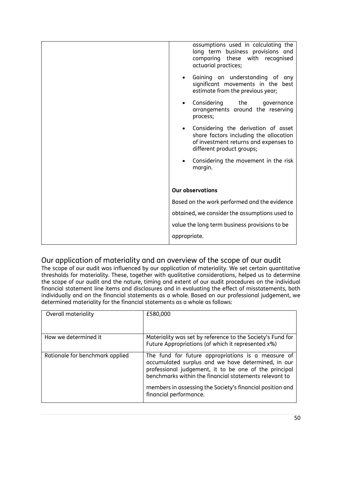| assumptions used in calculating the<br>long term business provisions and<br>comparing these with recognised<br>actuarial practices;                   |  |  |  |
|-------------------------------------------------------------------------------------------------------------------------------------------------------|--|--|--|
| Gaining an understanding of any<br>significant movements in the best<br>estimate from the previous year;                                              |  |  |  |
| Considering the<br>governance<br>arrangements around the reserving<br>process;                                                                        |  |  |  |
| • Considering the derivation of asset<br>share factors including the allocation<br>of investment returns and expenses to<br>different product groups; |  |  |  |
| Considering the movement in the risk<br>$\bullet$<br>margin.                                                                                          |  |  |  |
| <b>Our observations</b>                                                                                                                               |  |  |  |
| Based on the work performed and the evidence                                                                                                          |  |  |  |
| obtained, we consider the assumptions used to                                                                                                         |  |  |  |
| value the long term business provisions to be                                                                                                         |  |  |  |
| appropriate.                                                                                                                                          |  |  |  |

# Our application of materiality and an overview of the scope of our audit

The scope of our audit was influenced by our application of materiality. We set certain quantitative thresholds for materiality. These, together with qualitative considerations, helped us to determine the scope of our audit and the nature, timing and extent of our audit procedures on the individual financial statement line items and disclosures and in evaluating the effect of misstatements, both individually and on the financial statements as a whole. Based on our professional judgement, we determined materiality for the financial statements as a whole as follows:

| Overall materiality             | £580,000                                                                                                                                                                                                                                                                                                           |
|---------------------------------|--------------------------------------------------------------------------------------------------------------------------------------------------------------------------------------------------------------------------------------------------------------------------------------------------------------------|
| How we determined it            | Materiality was set by reference to the Society's Fund for<br>Future Appropriations (of which it represented x%)                                                                                                                                                                                                   |
| Rationale for benchmark applied | The fund for future appropriations is a measure of<br>accumulated surplus and we have determined, in our<br>professional judgement, it to be one of the principal<br>benchmarks within the financial statements relevant to<br>members in assessing the Society's financial position and<br>financial performance. |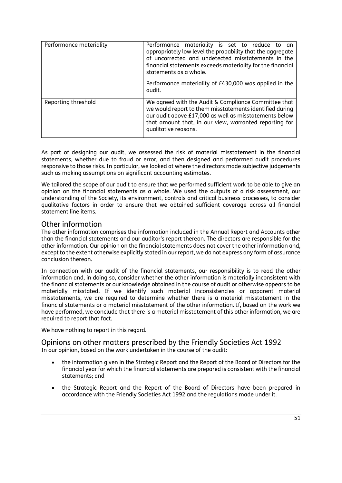| Performance materiality | Performance materiality is set to reduce to an<br>appropriately low level the probability that the aggregate<br>of uncorrected and undetected misstatements in the<br>financial statements exceeds materiality for the financial<br>statements as a whole.<br>Performance materiality of £430,000 was applied in the<br>audit. |  |  |  |  |  |
|-------------------------|--------------------------------------------------------------------------------------------------------------------------------------------------------------------------------------------------------------------------------------------------------------------------------------------------------------------------------|--|--|--|--|--|
| Reporting threshold     | We agreed with the Audit & Compliance Committee that<br>we would report to them misstatements identified during<br>our audit above £17,000 as well as misstatements below<br>that amount that, in our view, warranted reporting for<br>qualitative reasons.                                                                    |  |  |  |  |  |

As part of designing our audit, we assessed the risk of material misstatement in the financial statements, whether due to fraud or error, and then designed and performed audit procedures responsive to those risks. In particular, we looked at where the directors made subjective judgements such as making assumptions on significant accounting estimates.

We tailored the scope of our audit to ensure that we performed sufficient work to be able to give an opinion on the financial statements as a whole. We used the outputs of a risk assessment, our understanding of the Society, its environment, controls and critical business processes, to consider qualitative factors in order to ensure that we obtained sufficient coverage across all financial statement line items.

## Other information

The other information comprises the information included in the Annual Report and Accounts other than the financial statements and our auditor's report thereon. The directors are responsible for the other information. Our opinion on the financial statements does not cover the other information and, except to the extent otherwise explicitly stated in our report, we do not express any form of assurance conclusion thereon.

In connection with our audit of the financial statements, our responsibility is to read the other information and, in doing so, consider whether the other information is materially inconsistent with the financial statements or our knowledge obtained in the course of audit or otherwise appears to be materially misstated. If we identify such material inconsistencies or apparent material misstatements, we are required to determine whether there is a material misstatement in the financial statements or a material misstatement of the other information. If, based on the work we have performed, we conclude that there is a material misstatement of this other information, we are required to report that fact.

We have nothing to report in this regard.

## Opinions on other matters prescribed by the Friendly Societies Act 1992 In our opinion, based on the work undertaken in the course of the audit:

- the information given in the Strategic Report and the Report of the Board of Directors for the financial year for which the financial statements are prepared is consistent with the financial statements; and
- the Strategic Report and the Report of the Board of Directors have been prepared in accordance with the Friendly Societies Act 1992 and the regulations made under it.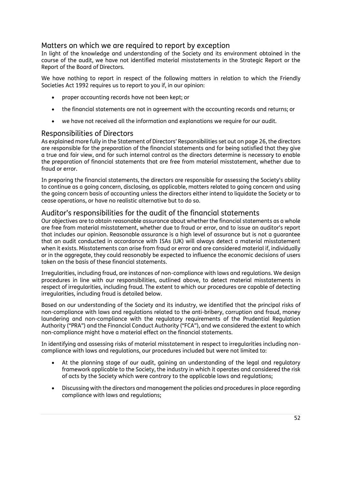## Matters on which we are required to report by exception

In light of the knowledge and understanding of the Society and its environment obtained in the course of the audit, we have not identified material misstatements in the Strategic Report or the Report of the Board of Directors.

We have nothing to report in respect of the following matters in relation to which the Friendly Societies Act 1992 requires us to report to you if, in our opinion:

- proper accounting records have not been kept; or
- the financial statements are not in agreement with the accounting records and returns; or
- we have not received all the information and explanations we require for our audit.

## Responsibilities of Directors

As explained more fully in the Statement of Directors' Responsibilities set out on page 26, the directors are responsible for the preparation of the financial statements and for being satisfied that they give a true and fair view, and for such internal control as the directors determine is necessary to enable the preparation of financial statements that are free from material misstatement, whether due to fraud or error.

In preparing the financial statements, the directors are responsible for assessing the Society's ability to continue as a going concern, disclosing, as applicable, matters related to going concern and using the going concern basis of accounting unless the directors either intend to liquidate the Society or to cease operations, or have no realistic alternative but to do so.

## Auditor's responsibilities for the audit of the financial statements

Our objectives are to obtain reasonable assurance about whether the financial statements as a whole are free from material misstatement, whether due to fraud or error, and to issue an auditor's report that includes our opinion. Reasonable assurance is a high level of assurance but is not a guarantee that an audit conducted in accordance with ISAs (UK) will always detect a material misstatement when it exists. Misstatements can arise from fraud or error and are considered material if, individually or in the aggregate, they could reasonably be expected to influence the economic decisions of users taken on the basis of these financial statements.

Irregularities, including fraud, are instances of non-compliance with laws and regulations. We design procedures in line with our responsibilities, outlined above, to detect material misstatements in respect of irregularities, including fraud. The extent to which our procedures are capable of detecting irregularities, including fraud is detailed below.

Based on our understanding of the Society and its industry, we identified that the principal risks of non-compliance with laws and regulations related to the anti-bribery, corruption and fraud, money laundering and non-compliance with the regulatory requirements of the Prudential Regulation Authority ("PRA") and the Financial Conduct Authority ("FCA"), and we considered the extent to which non-compliance might have a material effect on the financial statements.

In identifying and assessing risks of material misstatement in respect to irregularities including noncompliance with laws and regulations, our procedures included but were not limited to:

- At the planning stage of our audit, gaining an understanding of the legal and regulatory framework applicable to the Society, the industry in which it operates and considered the risk of acts by the Society which were contrary to the applicable laws and regulations;
- Discussing with the directors and management the policies and procedures in place regarding compliance with laws and regulations;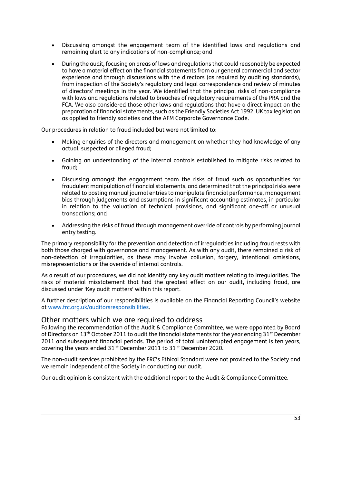- Discussing amongst the engagement team of the identified laws and regulations and remaining alert to any indications of non-compliance; and
- During the audit, focusing on areas of laws and regulations that could reasonably be expected to have a material effect on the financial statements from our general commercial and sector experience and through discussions with the directors (as required by auditing standards), from inspection of the Society's regulatory and legal correspondence and review of minutes of directors' meetings in the year. We identified that the principal risks of non-compliance with laws and regulations related to breaches of regulatory requirements of the PRA and the FCA. We also considered those other laws and regulations that have a direct impact on the preparation of financial statements, such as the Friendly Societies Act 1992, UK tax legislation as applied to friendly societies and the AFM Corporate Governance Code.

Our procedures in relation to fraud included but were not limited to:

- Making enquiries of the directors and management on whether they had knowledge of any actual, suspected or alleged fraud;
- Gaining an understanding of the internal controls established to mitigate risks related to fraud;
- Discussing amongst the engagement team the risks of fraud such as opportunities for fraudulent manipulation of financial statements, and determined that the principal risks were related to posting manual journal entries to manipulate financial performance, management bias through judgements and assumptions in significant accounting estimates, in particular in relation to the valuation of technical provisions, and significant one-off or unusual transactions; and
- Addressing the risks of fraud through management override of controls by performing journal entry testing.

The primary responsibility for the prevention and detection of irregularities including fraud rests with both those charged with governance and management. As with any audit, there remained a risk of non-detection of irregularities, as these may involve collusion, forgery, intentional omissions, misrepresentations or the override of internal controls.

As a result of our procedures, we did not identify any key audit matters relating to irregularities. The risks of material misstatement that had the greatest effect on our audit, including fraud, are discussed under 'Key audit matters' within this report.

A further description of our responsibilities is available on the Financial Reporting Council's website at [www.frc.org.uk/auditorsresponsibilities.](http://www.frc.org.uk/auditorsresponsibilities)

#### Other matters which we are required to address

Following the recommendation of the Audit & Compliance Committee, we were appointed by Board of Directors on 13<sup>th</sup> October 2011 to audit the financial statements for the year ending 31<sup>st</sup> December 2011 and subsequent financial periods. The period of total uninterrupted engagement is ten years, covering the years ended 31 st December 2011 to 31 st December 2020.

The non-audit services prohibited by the FRC's Ethical Standard were not provided to the Society and we remain independent of the Society in conducting our audit.

Our audit opinion is consistent with the additional report to the Audit & Compliance Committee.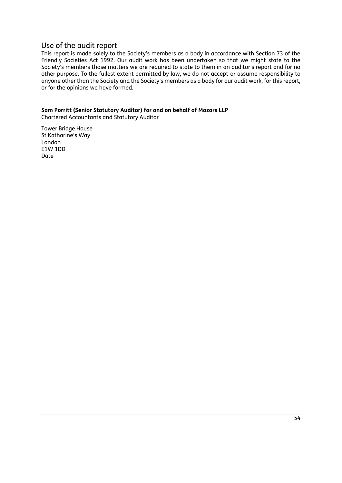## Use of the audit report

This report is made solely to the Society's members as a body in accordance with Section 73 of the Friendly Societies Act 1992. Our audit work has been undertaken so that we might state to the Society's members those matters we are required to state to them in an auditor's report and for no other purpose. To the fullest extent permitted by law, we do not accept or assume responsibility to anyone other than the Society and the Society's members as a body for our audit work, for this report, or for the opinions we have formed.

# **Sam Porritt (Senior Statutory Auditor) for and on behalf of Mazars LLP**

Chartered Accountants and Statutory Auditor

Tower Bridge House St Katharine's Way London E1W 1DD Date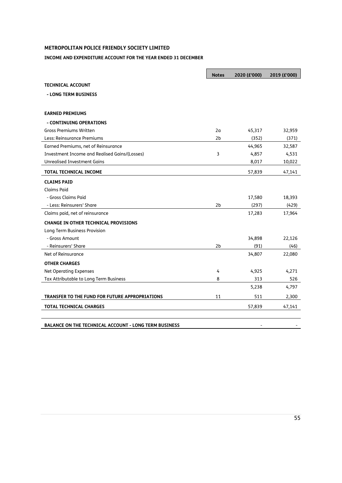## **METROPOLITAN POLICE FRIENDLY SOCIETY LIMITED**

#### **INCOME AND EXPENDITURE ACCOUNT FOR THE YEAR ENDED 31 DECEMBER**

|                                                              | <b>Notes</b>   | 2020 (£'000) | 2019 (£'000) |
|--------------------------------------------------------------|----------------|--------------|--------------|
| <b>TECHNICAL ACCOUNT</b>                                     |                |              |              |
| - LONG TERM BUSINESS                                         |                |              |              |
|                                                              |                |              |              |
| <b>EARNED PREMIUMS</b>                                       |                |              |              |
| - CONTINUING OPERATIONS                                      |                |              |              |
| <b>Gross Premiums Written</b>                                | 2a             | 45,317       | 32,959       |
| Less: Reinsurance Premiums                                   | 2b             | (352)        | (371)        |
| Earned Premiums, net of Reinsurance                          |                | 44,965       | 32,587       |
| Investment Income and Realised Gains/(Losses)                | 3              | 4,857        | 4,531        |
| <b>Unrealised Investment Gains</b>                           |                | 8,017        | 10,022       |
| <b>TOTAL TECHNICAL INCOME</b>                                |                | 57,839       | 47,141       |
| <b>CLAIMS PAID</b>                                           |                |              |              |
| Claims Paid                                                  |                |              |              |
| - Gross Claims Paid                                          |                | 17,580       | 18,393       |
| - Less: Reinsurers' Share                                    | 2 <sub>b</sub> | (297)        | (429)        |
| Claims paid, net of reinsurance                              |                | 17,283       | 17,964       |
| <b>CHANGE IN OTHER TECHNICAL PROVISIONS</b>                  |                |              |              |
| Long Term Business Provision                                 |                |              |              |
| - Gross Amount                                               |                | 34,898       | 22,126       |
| - Reinsurers' Share                                          | 2 <sub>b</sub> | (91)         | (46)         |
| Net of Reinsurance                                           |                | 34,807       | 22,080       |
| <b>OTHER CHARGES</b>                                         |                |              |              |
| <b>Net Operating Expenses</b>                                | 4              | 4,925        | 4,271        |
| Tax Attributable to Long Term Business                       | 8              | 313          | 526          |
|                                                              |                | 5,238        | 4,797        |
| TRANSFER TO THE FUND FOR FUTURE APPROPRIATIONS               | 11             | 511          | 2,300        |
| <b>TOTAL TECHNICAL CHARGES</b>                               |                | 57,839       | 47,141       |
|                                                              |                |              |              |
| <b>BALANCE ON THE TECHNICAL ACCOUNT - LONG TERM BUSINESS</b> |                |              |              |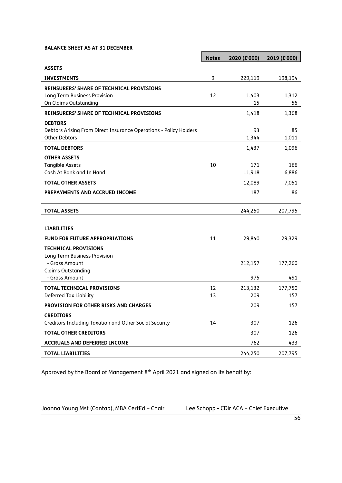#### **BALANCE SHEET AS AT 31 DECEMBER**

|                                                                   | <b>Notes</b> | 2020 (£'000) | 2019 (£'000) |
|-------------------------------------------------------------------|--------------|--------------|--------------|
| <b>ASSETS</b>                                                     |              |              |              |
| <b>INVESTMENTS</b>                                                | 9            | 229,119      | 198,194      |
| <b>REINSURERS' SHARE OF TECHNICAL PROVISIONS</b>                  |              |              |              |
| Long Term Business Provision                                      | 12           | 1,403        | 1,312        |
| On Claims Outstanding                                             |              | 15           | 56           |
| <b>REINSURERS' SHARE OF TECHNICAL PROVISIONS</b>                  |              | 1,418        | 1,368        |
| <b>DEBTORS</b>                                                    |              |              |              |
| Debtors Arising From Direct Insurance Operations - Policy Holders |              | 93           | 85           |
| <b>Other Debtors</b>                                              |              | 1,344        | 1,011        |
| <b>TOTAL DEBTORS</b>                                              |              | 1,437        | 1,096        |
| <b>OTHER ASSETS</b>                                               |              |              |              |
| <b>Tangible Assets</b>                                            | 10           | 171          | 166          |
| Cash At Bank and In Hand                                          |              | 11,918       | 6,886        |
| <b>TOTAL OTHER ASSETS</b>                                         |              | 12,089       | 7,051        |
| PREPAYMENTS AND ACCRUED INCOME                                    |              | 187          | 86           |
|                                                                   |              |              |              |
| <b>TOTAL ASSETS</b>                                               |              | 244,250      | 207,795      |
|                                                                   |              |              |              |
| <b>LIABILITIES</b>                                                |              |              |              |
| <b>FUND FOR FUTURE APPROPRIATIONS</b>                             | 11           | 29,840       | 29,329       |
| <b>TECHNICAL PROVISIONS</b>                                       |              |              |              |
| Long Term Business Provision                                      |              |              |              |
| - Gross Amount<br><b>Claims Outstanding</b>                       |              | 212,157      | 177,260      |
| - Gross Amount                                                    |              | 975          | 491          |
| <b>TOTAL TECHNICAL PROVISIONS</b>                                 | 12           | 213,132      | 177,750      |
| Deferred Tax Liability                                            | 13           | 209          | 157          |
| <b>PROVISION FOR OTHER RISKS AND CHARGES</b>                      |              | 209          | 157          |
| <b>CREDITORS</b>                                                  |              |              |              |
| Creditors Including Taxation and Other Social Security            | 14           | 307          | 126          |
| <b>TOTAL OTHER CREDITORS</b>                                      |              | 307          | 126          |
| <b>ACCRUALS AND DEFERRED INCOME</b>                               |              | 762          | 433          |
| <b>TOTAL LIABILITIES</b>                                          |              | 244,250      | 207,795      |

 $\blacksquare$ 

Approved by the Board of Management 8<sup>th</sup> April 2021 and signed on its behalf by:

Joanna Young Mst (Cantab), MBA CertEd – Chair Lee Schopp - CDir ACA – Chief Executive

J.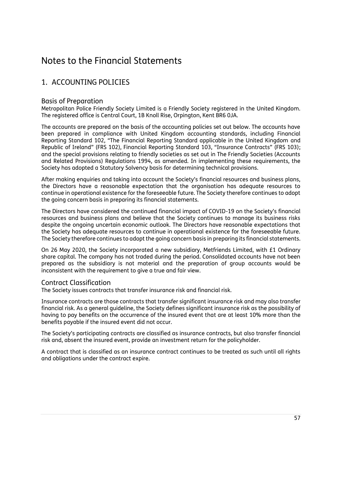# Notes to the Financial Statements

# 1. ACCOUNTING POLICIES

## Basis of Preparation

Metropolitan Police Friendly Society Limited is a Friendly Society registered in the United Kingdom. The registered office is Central Court, 1B Knoll Rise, Orpington, Kent BR6 0JA.

The accounts are prepared on the basis of the accounting policies set out below. The accounts have been prepared in compliance with United Kingdom accounting standards, including Financial Reporting Standard 102, "The Financial Reporting Standard applicable in the United Kingdom and Republic of Ireland" (FRS 102), Financial Reporting Standard 103, "Insurance Contracts" (FRS 103); and the special provisions relating to friendly societies as set out in The Friendly Societies (Accounts and Related Provisions) Regulations 1994, as amended. In implementing these requirements, the Society has adopted a Statutory Solvency basis for determining technical provisions.

After making enquiries and taking into account the Society's financial resources and business plans, the Directors have a reasonable expectation that the organisation has adequate resources to continue in operational existence for the foreseeable future. The Society therefore continues to adopt the going concern basis in preparing its financial statements.

The Directors have considered the continued financial impact of COVID-19 on the Society's financial resources and business plans and believe that the Society continues to manage its business risks despite the ongoing uncertain economic outlook. The Directors have reasonable expectations that the Society has adequate resources to continue in operational existence for the foreseeable future. The Society therefore continues to adopt the going concern basis in preparing its financial statements.

On 26 May 2020, the Society incorporated a new subsidiary, Metfriends Limited, with £1 Ordinary share capital. The company has not traded during the period. Consolidated accounts have not been prepared as the subsidiary is not material and the preparation of group accounts would be inconsistent with the requirement to give a true and fair view.

## Contract Classification

The Society issues contracts that transfer insurance risk and financial risk.

Insurance contracts are those contracts that transfer significant insurance risk and may also transfer financial risk. As a general guideline, the Society defines significant insurance risk as the possibility of having to pay benefits on the occurrence of the insured event that are at least 10% more than the benefits payable if the insured event did not occur.

The Society's participating contracts are classified as insurance contracts, but also transfer financial risk and, absent the insured event, provide an investment return for the policyholder.

A contract that is classified as an insurance contract continues to be treated as such until all rights and obligations under the contract expire.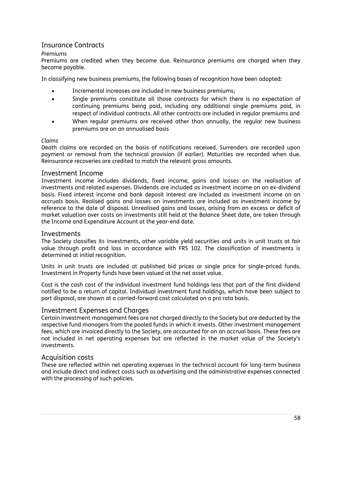## Insurance Contracts

#### *Premiums*

Premiums are credited when they become due. Reinsurance premiums are charged when they become payable.

In classifying new business premiums, the following bases of recognition have been adopted:

- Incremental increases are included in new business premiums;
- Single premiums constitute all those contracts for which there is no expectation of continuing premiums being paid, including any additional single premiums paid, in respect of individual contracts. All other contracts are included in regular premiums and
- When regular premiums are received other than annually, the regular new business premiums are on an annualised basis

#### *Claims*

Death claims are recorded on the basis of notifications received. Surrenders are recorded upon payment or removal from the technical provision (if earlier). Maturities are recorded when due. Reinsurance recoveries are credited to match the relevant gross amounts.

#### Investment Income

Investment income includes dividends, fixed income, gains and losses on the realisation of investments and related expenses. Dividends are included as investment income on an ex-dividend basis. Fixed interest income and bank deposit interest are included as investment income on an accruals basis. Realised gains and losses on investments are included as investment income by reference to the date of disposal. Unrealised gains and losses, arising from an excess or deficit of market valuation over costs on investments still held at the Balance Sheet date, are taken through the Income and Expenditure Account at the year-end date.

#### **Investments**

The Society classifies its investments, other variable yield securities and units in unit trusts at fair value through profit and loss in accordance with FRS 102. The classification of investments is determined at initial recognition.

Units in unit trusts are included at published bid prices or single price for single-priced funds. Investment in Property funds have been valued at the net asset value.

Cost is the cash cost of the individual investment fund holdings less that part of the first dividend notified to be a return of capital. Individual investment fund holdings, which have been subject to part disposal, are shown at a carried-forward cost calculated on a pro rata basis.

#### Investment Expenses and Charges

Certain investment management fees are not charged directly to the Society but are deducted by the respective fund managers from the pooled funds in which it invests. Other investment management fees, which are invoiced directly to the Society, are accounted for on an accrual basis. These fees are not included in net operating expenses but are reflected in the market value of the Society's investments.

#### Acquisition costs

These are reflected within net operating expenses in the technical account for long-term business and include direct and indirect costs such as advertising and the administrative expenses connected with the processing of such policies.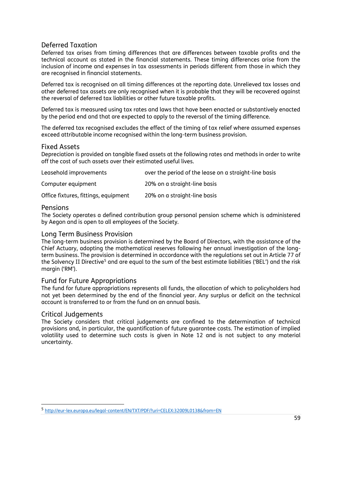## Deferred Taxation

Deferred tax arises from timing differences that are differences between taxable profits and the technical account as stated in the financial statements. These timing differences arise from the inclusion of income and expenses in tax assessments in periods different from those in which they are recognised in financial statements.

Deferred tax is recognised on all timing differences at the reporting date. Unrelieved tax losses and other deferred tax assets are only recognised when it is probable that they will be recovered against the reversal of deferred tax liabilities or other future taxable profits.

Deferred tax is measured using tax rates and laws that have been enacted or substantively enacted by the period end and that are expected to apply to the reversal of the timing difference.

The deferred tax recognised excludes the effect of the timing of tax relief where assumed expenses exceed attributable income recognised within the long-term business provision.

#### Fixed Assets

Depreciation is provided on tangible fixed assets at the following rates and methods in order to write off the cost of such assets over their estimated useful lives.

| Leasehold improvements               | over the period of the lease on a straight-line basis |
|--------------------------------------|-------------------------------------------------------|
| Computer equipment                   | 20% on a straight-line basis                          |
| Office fixtures, fittings, equipment | 20% on a straight-line basis                          |

#### Pensions

The Society operates a defined contribution group personal pension scheme which is administered by Aegon and is open to all employees of the Society.

#### Long Term Business Provision

The long-term business provision is determined by the Board of Directors, with the assistance of the Chief Actuary, adopting the mathematical reserves following her annual investigation of the longterm business. The provision is determined in accordance with the regulations set out in Article 77 of the Solvency II Directive<sup>5</sup> and are equal to the sum of the best estimate liabilities ('BEL') and the risk margin ('RM').

## Fund for Future Appropriations

The fund for future appropriations represents all funds, the allocation of which to policyholders had not yet been determined by the end of the financial year. Any surplus or deficit on the technical account is transferred to or from the fund on an annual basis.

#### Critical Judgements

The Society considers that critical judgements are confined to the determination of technical provisions and, in particular, the quantification of future guarantee costs. The estimation of implied volatility used to determine such costs is given in Note 12 and is not subject to any material uncertainty.

<sup>5</sup> <http://eur-lex.europa.eu/legal-content/EN/TXT/PDF/?uri=CELEX:32009L0138&from=EN>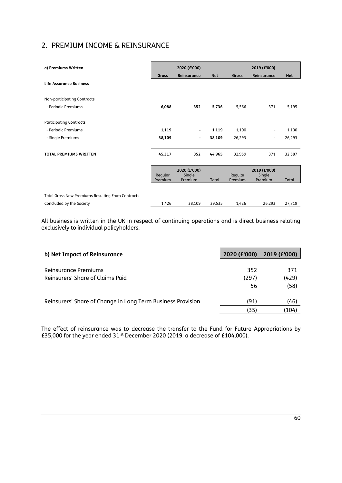# 2. PREMIUM INCOME & REINSURANCE

| a) Premiums Written                                      | 2020 (£'000)<br>2019 (£'000) |                                   |            |                    |                                   |            |
|----------------------------------------------------------|------------------------------|-----------------------------------|------------|--------------------|-----------------------------------|------------|
|                                                          | Gross                        | Reinsurance                       | <b>Net</b> | <b>Gross</b>       | Reinsurance                       | <b>Net</b> |
| <b>Life Assurance Business</b>                           |                              |                                   |            |                    |                                   |            |
| Non-participating Contracts                              |                              |                                   |            |                    |                                   |            |
| - Periodic Premiums                                      | 6,088                        | 352                               | 5,736      | 5,566              | 371                               | 5,195      |
| <b>Participating Contracts</b>                           |                              |                                   |            |                    |                                   |            |
| - Periodic Premiums                                      | 1,119                        | $\overline{\phantom{a}}$          | 1,119      | 1,100              | $\qquad \qquad \blacksquare$      | 1,100      |
| - Single Premiums                                        | 38,109                       | -                                 | 38,109     | 26,293             | $\overline{\phantom{a}}$          | 26,293     |
| <b>TOTAL PREMIUMS WRITTEN</b>                            | 45,317                       | 352                               | 44,965     | 32,959             | 371                               | 32,587     |
|                                                          |                              |                                   |            |                    |                                   |            |
|                                                          | Regular<br>Premium           | 2020 (£'000)<br>Single<br>Premium | Total      | Regular<br>Premium | 2019 (£'000)<br>Single<br>Premium | Total      |
|                                                          |                              |                                   |            |                    |                                   |            |
| <b>Total Gross New Premiums Resulting From Contracts</b> |                              |                                   |            |                    |                                   |            |
| Concluded by the Society                                 | 1,426                        | 38,109                            | 39,535     | 1,426              | 26,293                            | 27,719     |

All business is written in the UK in respect of continuing operations and is direct business relating exclusively to individual policyholders.

| b) Net Impact of Reinsurance                                | 2020 (£'000) | 2019 (£'000) |
|-------------------------------------------------------------|--------------|--------------|
|                                                             |              |              |
| Reinsurance Premiums                                        | 352          | 371          |
| Reinsurers' Share of Claims Paid                            | (297)        | (429)        |
|                                                             | 56           | (58)         |
|                                                             |              |              |
| Reinsurers' Share of Change in Long Term Business Provision | (91)         | (46)         |
|                                                             | (35)         | (104)        |
|                                                             |              |              |

The effect of reinsurance was to decrease the transfer to the Fund for Future Appropriations by £35,000 for the year ended 31 st December 2020 (2019: a decrease of £104,000).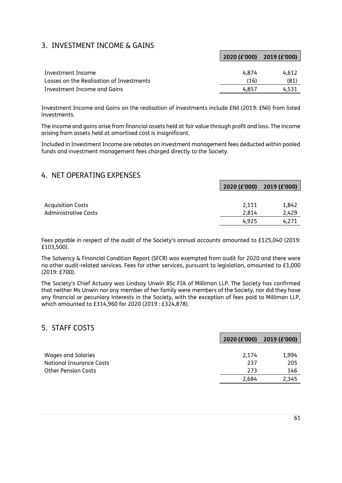# 3. INVESTMENT INCOME & GAINS

|                                          | 2020 (£'000) 2019 (£'000) |       |
|------------------------------------------|---------------------------|-------|
|                                          |                           |       |
| Investment Income                        | 4.874                     | 4.612 |
| Losses on the Realisation of Investments | (16)                      | (81)  |
| Investment Income and Gains              | 4.857                     | 4.531 |

г

Investment Income and Gains on the realisation of investments include £Nil (2019: £Nil) from listed investments.

The income and gains arise from financial assets held at fair value through profit and loss. The income arising from assets held at amortised cost is insignificant.

Included in Investment Income are rebates on investment management fees deducted within pooled funds and investment management fees charged directly to the Society.

## 4. NET OPERATING EXPENSES

|                             | 2020 (£'000) 2019 (£'000) |       |
|-----------------------------|---------------------------|-------|
|                             |                           |       |
| <b>Acquisition Costs</b>    | 2,111                     | 1,842 |
| <b>Administrative Costs</b> | 2.814                     | 2,429 |
|                             | 4.925                     | 4.271 |

Fees payable in respect of the audit of the Society's annual accounts amounted to £125,040 (2019: £103,500).

The Solvency & Financial Condition Report (SFCR) was exempted from audit for 2020 and there were no other audit-related services. Fees for other services, pursuant to legislation, amounted to £1,000 (2019: £700).

The Society's Chief Actuary was Lindsay Unwin BSc FIA of Milliman LLP. The Society has confirmed that neither Ms Unwin nor any member of her family were members of the Society, nor did they have any financial or pecuniary interests in the Society, with the exception of fees paid to Milliman LLP, which amounted to £314,960 for 2020 (2019 : £324,878).

## 5. STAFF COSTS

|                                 | 2020 (£'000) 2019 (£'000) |       |
|---------------------------------|---------------------------|-------|
|                                 |                           |       |
| Wages and Salaries              | 2.174                     | 1,994 |
| <b>National Insurance Costs</b> | 237                       | 205   |
| <b>Other Pension Costs</b>      | 273                       | 146   |
|                                 | 2,684                     | 2,345 |
|                                 |                           |       |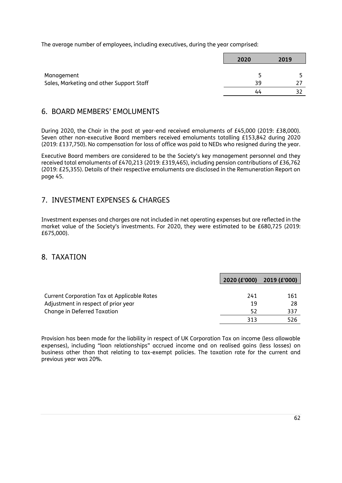The average number of employees, including executives, during the year comprised:

|                                          | 2020 |    | 2019 |
|------------------------------------------|------|----|------|
| Management                               |      |    |      |
| Sales, Marketing and other Support Staff |      | 39 |      |
|                                          |      | 44 |      |

## 6. BOARD MEMBERS' EMOLUMENTS

During 2020, the Chair in the post at year-end received emoluments of £45,000 (2019: £38,000). Seven other non-executive Board members received emoluments totalling £153,842 during 2020 (2019: £137,750). No compensation for loss of office was paid to NEDs who resigned during the year.

Executive Board members are considered to be the Society's key management personnel and they received total emoluments of £470,213 (2019: £319,465), including pension contributions of £36,762 (2019: £25,355). Details of their respective emoluments are disclosed in the Remuneration Report on page 45.

# 7. INVESTMENT EXPENSES & CHARGES

Investment expenses and charges are not included in net operating expenses but are reflected in the market value of the Society's investments. For 2020, they were estimated to be £680,725 (2019: £675,000).

## 8. TAXATION

|                                                    |     | 2020 (£'000) 2019 (£'000) |
|----------------------------------------------------|-----|---------------------------|
|                                                    |     |                           |
| <b>Current Corporation Tax at Applicable Rates</b> | 241 | 161                       |
| Adjustment in respect of prior year                | 19  | -28                       |
| Change in Deferred Taxation                        | 52  | 337                       |
|                                                    | 313 | 526                       |

Provision has been made for the liability in respect of UK Corporation Tax on income (less allowable expenses), including "loan relationships" accrued income and on realised gains (less losses) on business other than that relating to tax-exempt policies. The taxation rate for the current and previous year was 20%.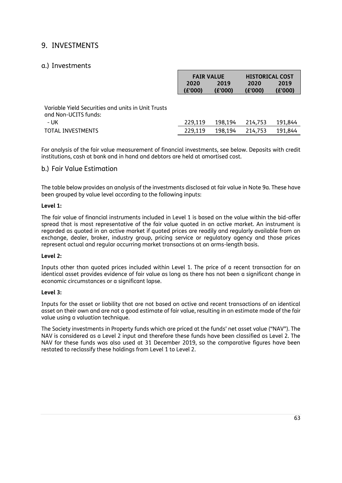# 9. INVESTMENTS

## a.) Investments

|                                                                            | <b>FAIR VALUE</b><br>2019<br>2020<br>(E'000)<br>(E'000) |         | <b>HISTORICAL COST</b><br>2020<br>(E'000) | 2019<br>(E'000) |
|----------------------------------------------------------------------------|---------------------------------------------------------|---------|-------------------------------------------|-----------------|
| Variable Yield Securities and units in Unit Trusts<br>and Non-UCITS funds: |                                                         |         |                                           |                 |
| - UK                                                                       | 229,119                                                 | 198,194 | 214.753                                   | 191.844         |
| TOTAL INVESTMENTS                                                          | 229,119                                                 | 198.194 | 214,753                                   | 191,844         |

For analysis of the fair value measurement of financial investments, see below. Deposits with credit institutions, cash at bank and in hand and debtors are held at amortised cost.

## b.) Fair Value Estimation

The table below provides an analysis of the investments disclosed at fair value in Note 9a. These have been grouped by value level according to the following inputs:

#### **Level 1:**

The fair value of financial instruments included in Level 1 is based on the value within the bid-offer spread that is most representative of the fair value quoted in an active market. An instrument is regarded as quoted in an active market if quoted prices are readily and regularly available from an exchange, dealer, broker, industry group, pricing service or regulatory agency and those prices represent actual and regular occurring market transactions at an arms-length basis.

#### **Level 2:**

Inputs other than quoted prices included within Level 1. The price of a recent transaction for an identical asset provides evidence of fair value as long as there has not been a significant change in economic circumstances or a significant lapse.

#### **Level 3:**

Inputs for the asset or liability that are not based on active and recent transactions of an identical asset on their own and are not a good estimate of fair value, resulting in an estimate made of the fair value using a valuation technique.

The Society investments in Property funds which are priced at the funds' net asset value ("NAV"). The NAV is considered as a Level 2 input and therefore these funds have been classified as Level 2. The NAV for these funds was also used at 31 December 2019, so the comparative figures have been restated to reclassify these holdings from Level 1 to Level 2.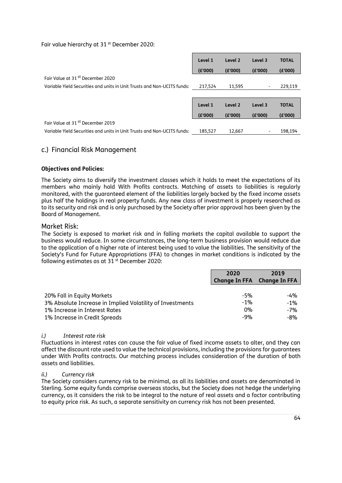#### Fair value hierarchy at 31<sup>st</sup> December 2020:

|                                                                         | Level 1 | Level 2 | Level 3 | <b>TOTAL</b> |
|-------------------------------------------------------------------------|---------|---------|---------|--------------|
|                                                                         | (E'000) | (E'000) | (E'000) | (E'000)      |
| Fair Value at 31 <sup>st</sup> December 2020                            |         |         |         |              |
| Variable Yield Securities and units in Unit Trusts and Non-UCITS funds: | 217.524 | 11,595  |         | 229,119      |
|                                                                         |         |         |         |              |
|                                                                         | Level 1 | Level 2 | Level 3 | <b>TOTAL</b> |
|                                                                         | (E'000) | (E'000) | (E'000) | (E'000)      |
| Fair Value at 31 <sup>st</sup> December 2019                            |         |         |         |              |
| Variable Yield Securities and units in Unit Trusts and Non-UCITS funds: | 185,527 | 12,667  | -       | 198.194      |

## c.) Financial Risk Management

#### **Objectives and Policies:**

The Society aims to diversify the investment classes which it holds to meet the expectations of its members who mainly hold With Profits contracts. Matching of assets to liabilities is regularly monitored, with the guaranteed element of the liabilities largely backed by the fixed income assets plus half the holdings in real property funds. Any new class of investment is properly researched as to its security and risk and is only purchased by the Society after prior approval has been given by the Board of Management.

#### Market Risk:

The Society is exposed to market risk and in falling markets the capital available to support the business would reduce. In some circumstances, the long-term business provision would reduce due to the application of a higher rate of interest being used to value the liabilities. The sensitivity of the Society's Fund for Future Appropriations (FFA) to changes in market conditions is indicated by the following estimates as at 31 st December 2020:

|                                                           | 2020                        | 2019   |
|-----------------------------------------------------------|-----------------------------|--------|
|                                                           | Change In FFA Change In FFA |        |
|                                                           |                             |        |
| 20% Fall in Equity Markets                                | $-5%$                       | -4%    |
| 3% Absolute Increase in Implied Volatility of Investments | $-1\%$                      | $-1\%$ |
| 1% Increase in Interest Rates                             | 0%                          | -7%    |
| 1% Increase in Credit Spreads                             | $-9%$                       | -8%    |

#### *i.) Interest rate risk*

Fluctuations in interest rates can cause the fair value of fixed income assets to alter, and they can affect the discount rate used to value the technical provisions, including the provisions for guarantees under With Profits contracts. Our matching process includes consideration of the duration of both assets and liabilities.

#### *ii.) Currency risk*

The Society considers currency risk to be minimal, as all its liabilities and assets are denominated in Sterling. Some equity funds comprise overseas stocks, but the Society does not hedge the underlying currency, as it considers the risk to be integral to the nature of real assets and a factor contributing to equity price risk. As such, a separate sensitivity on currency risk has not been presented.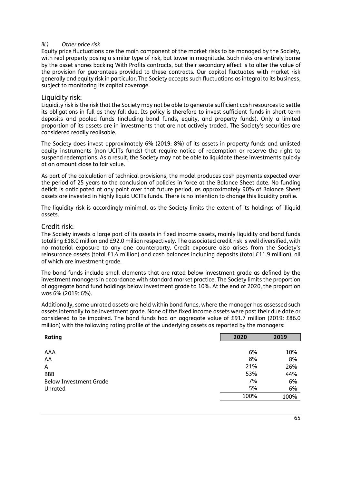#### *iii.) Other price risk*

Equity price fluctuations are the main component of the market risks to be managed by the Society, with real property posing a similar type of risk, but lower in magnitude. Such risks are entirely borne by the asset shares backing With Profits contracts, but their secondary effect is to alter the value of the provision for guarantees provided to these contracts. Our capital fluctuates with market risk generally and equity risk in particular. The Society accepts such fluctuations as integral to its business, subject to monitoring its capital coverage.

#### Liquidity risk:

Liquidity risk is the risk that the Society may not be able to generate sufficient cash resources to settle its obligations in full as they fall due. Its policy is therefore to invest sufficient funds in short-term deposits and pooled funds (including bond funds, equity, and property funds). Only a limited proportion of its assets are in investments that are not actively traded. The Society's securities are considered readily realisable.

The Society does invest approximately 6% (2019: 8%) of its assets in property funds and unlisted equity instruments (non-UCITs funds) that require notice of redemption or reserve the right to suspend redemptions. As a result, the Society may not be able to liquidate these investments quickly at an amount close to fair value.

As part of the calculation of technical provisions, the model produces cash payments expected over the period of 25 years to the conclusion of policies in force at the Balance Sheet date. No funding deficit is anticipated at any point over that future period, as approximately 90% of Balance Sheet assets are invested in highly liquid UCITs funds. There is no intention to change this liquidity profile.

The liquidity risk is accordingly minimal, as the Society limits the extent of its holdings of illiquid assets.

#### Credit risk:

The Society invests a large part of its assets in fixed income assets, mainly liquidity and bond funds totalling £18.0 million and £92.0 million respectively. The associated credit risk is well diversified, with no material exposure to any one counterparty. Credit exposure also arises from the Society's reinsurance assets (total £1.4 million) and cash balances including deposits (total £11.9 million), all of which are investment grade.

The bond funds include small elements that are rated below investment grade as defined by the investment managers in accordance with standard market practice. The Society limits the proportion of aggregate bond fund holdings below investment grade to 10%. At the end of 2020, the proportion was 6% (2019: 6%).

Additionally, some unrated assets are held within bond funds, where the manager has assessed such assets internally to be investment grade. None of the fixed income assets were past their due date or considered to be impaired. The bond funds had an aggregate value of £91.7 million (2019: £86.0 million) with the following rating profile of the underlying assets as reported by the managers:

| Rating                        | 2020 | 2019 |
|-------------------------------|------|------|
|                               |      |      |
| AAA                           | 6%   | 10%  |
| AA                            | 8%   | 8%   |
| A                             | 21%  | 26%  |
| <b>BBB</b>                    | 53%  | 44%  |
| <b>Below Investment Grade</b> | 7%   | 6%   |
| Unrated                       | 5%   | 6%   |
|                               | 100% | 100% |
|                               |      |      |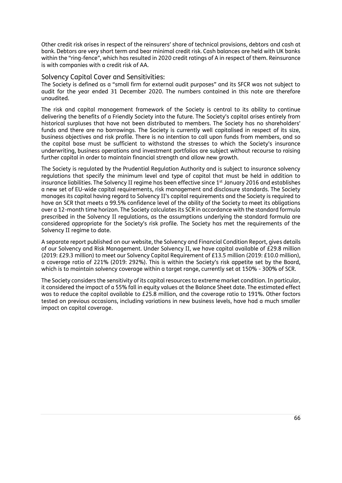Other credit risk arises in respect of the reinsurers' share of technical provisions, debtors and cash at bank. Debtors are very short term and bear minimal credit risk. Cash balances are held with UK banks within the "ring-fence", which has resulted in 2020 credit ratings of A in respect of them. Reinsurance is with companies with a credit risk of AA.

#### Solvency Capital Cover and Sensitivities:

The Society is defined as a "small firm for external audit purposes" and its SFCR was not subject to audit for the year ended 31 December 2020. The numbers contained in this note are therefore unaudited.

The risk and capital management framework of the Society is central to its ability to continue delivering the benefits of a Friendly Society into the future. The Society's capital arises entirely from historical surpluses that have not been distributed to members. The Society has no shareholders' funds and there are no borrowings. The Society is currently well capitalised in respect of its size, business objectives and risk profile. There is no intention to call upon funds from members, and so the capital base must be sufficient to withstand the stresses to which the Society's insurance underwriting, business operations and investment portfolios are subject without recourse to raising further capital in order to maintain financial strength and allow new growth.

The Society is regulated by the Prudential Regulation Authority and is subject to insurance solvency regulations that specify the minimum level and type of capital that must be held in addition to insurance liabilities. The Solvency II regime has been effective since 1<sup>st</sup> January 2016 and establishes a new set of EU-wide capital requirements, risk management and disclosure standards. The Society manages its capital having regard to Solvency II's capital requirements and the Society is required to have an SCR that meets a 99.5% confidence level of the ability of the Society to meet its obligations over a 12-month time horizon. The Society calculates its SCR in accordance with the standard formula prescribed in the Solvency II regulations, as the assumptions underlying the standard formula are considered appropriate for the Society's risk profile. The Society has met the requirements of the Solvency II regime to date.

A separate report published on our website, the Solvency and Financial Condition Report, gives details of our Solvency and Risk Management. Under Solvency II, we have capital available of £29.8 million (2019: £29.3 million) to meet our Solvency Capital Requirement of £13.5 million (2019: £10.0 million), a coverage ratio of 221% (2019: 292%). This is within the Society's risk appetite set by the Board, which is to maintain solvency coverage within a target range, currently set at 150% - 300% of SCR.

The Society considers the sensitivity of its capital resources to extreme market condition. In particular, it considered the impact of a 55% fall in equity values at the Balance Sheet date. The estimated effect was to reduce the capital available to £25.8 million, and the coverage ratio to 191%. Other factors tested on previous occasions, including variations in new business levels, have had a much smaller impact on capital coverage.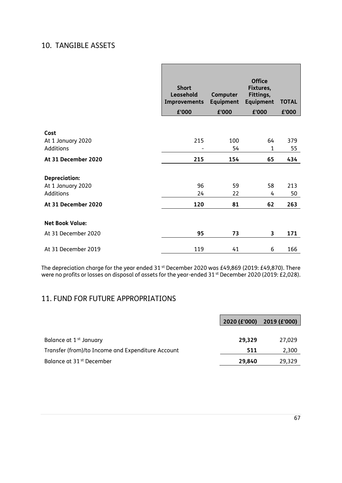# 10. TANGIBLE ASSETS

|                        | <b>Short</b><br>Leasehold | Computer         | <b>Office</b><br>Fixtures,<br>Fittings, |              |
|------------------------|---------------------------|------------------|-----------------------------------------|--------------|
|                        | Improvements              | <b>Equipment</b> | <b>Equipment</b>                        | <b>TOTAL</b> |
|                        | £'000                     | £'000            | £'000                                   | £'000        |
|                        |                           |                  |                                         |              |
| Cost                   |                           |                  |                                         |              |
| At 1 January 2020      | 215                       | 100              | 64                                      | 379          |
| <b>Additions</b>       | $\overline{\phantom{0}}$  | 54               | 1                                       | 55           |
| At 31 December 2020    | 215                       | 154              | 65                                      | 434          |
|                        |                           |                  |                                         |              |
| <b>Depreciation:</b>   |                           |                  |                                         |              |
| At 1 January 2020      | 96                        | 59               | 58                                      | 213          |
| <b>Additions</b>       | 24                        | 22               | 4                                       | 50           |
| At 31 December 2020    | 120                       | 81               | 62                                      | 263          |
|                        |                           |                  |                                         |              |
| <b>Net Book Value:</b> |                           |                  |                                         |              |
| At 31 December 2020    | 95                        | 73               | 3                                       | 171          |
| At 31 December 2019    | 119                       | 41               | 6                                       | 166          |

The depreciation charge for the year ended 31  $^{\rm st}$  December 2020 was £49,869 (2019: £49,870). There were no profits or losses on disposal of assets for the year-ended 31 <sup>st</sup> December 2020 (2019: £2,028).

# 11. FUND FOR FUTURE APPROPRIATIONS

|                                                   | 2020 (£'000) 2019 (£'000) |        |
|---------------------------------------------------|---------------------------|--------|
|                                                   |                           |        |
| Balance at 1 <sup>st</sup> January                | 29,329                    | 27,029 |
| Transfer (from)/to Income and Expenditure Account | 511                       | 2,300  |
| Balance at 31 <sup>st</sup> December              | 29,840                    | 29,329 |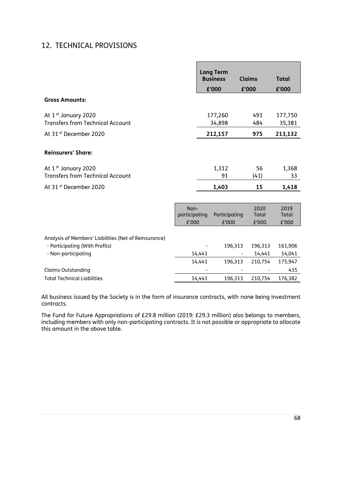# 12. TECHNICAL PROVISIONS

|                                                       |                                |        | <b>Long Term</b>       |                        |                        |
|-------------------------------------------------------|--------------------------------|--------|------------------------|------------------------|------------------------|
|                                                       |                                |        | <b>Business</b>        | <b>Claims</b>          | <b>Total</b>           |
|                                                       |                                |        | £'000                  | £'000                  | £'000                  |
| <b>Gross Amounts:</b>                                 |                                |        |                        |                        |                        |
| At 1 <sup>st</sup> January 2020                       |                                |        | 177,260                | 491                    | 177,750                |
| <b>Transfers from Technical Account</b>               |                                |        | 34,898                 | 484                    | 35,381                 |
| At 31 <sup>st</sup> December 2020                     |                                |        | 212,157                | 975                    | 213,132                |
| <b>Reinsurers' Share:</b>                             |                                |        |                        |                        |                        |
| At 1 <sup>st</sup> January 2020                       |                                |        | 1,312                  | 56                     | 1,368                  |
| <b>Transfers from Technical Account</b>               |                                |        | 91                     | (41)                   | 33                     |
| At 31 <sup>st</sup> December 2020                     |                                |        | 1,403                  | 15                     | 1,418                  |
|                                                       |                                |        |                        |                        |                        |
|                                                       | Non-<br>participating<br>£'000 |        | Participating<br>£'000 | 2020<br>Total<br>£'000 | 2019<br>Total<br>£'000 |
| Analysis of Members' Liabilities (Net of Reinsurance) |                                |        |                        |                        |                        |
| - Participating (With Profits)                        |                                |        | 196,313                | 196,313                | 161,906                |
| - Non-participating                                   |                                | 14,441 |                        | 14,441                 | 14,041                 |
|                                                       |                                | 14,441 | 196,313                | 210,754                | 175,947                |
| <b>Claims Outstanding</b>                             |                                |        |                        |                        | 435                    |
| <b>Total Technical Liabilities</b>                    |                                | 14,441 | 196,313                | 210,754                | 176,382                |

All business issued by the Society is in the form of insurance contracts, with none being investment contracts.

The Fund for Future Appropriations of £29.8 million (2019: £29.3 million) also belongs to members, including members with only non-participating contracts. It is not possible or appropriate to allocate this amount in the above table.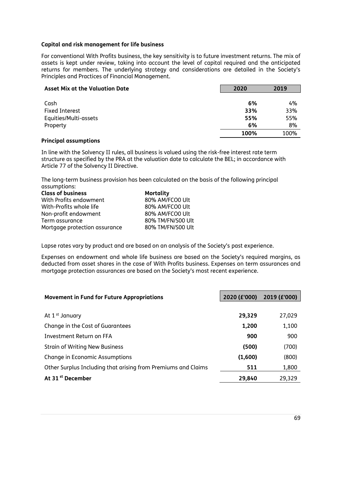#### **Capital and risk management for life business**

For conventional With Profits business, the key sensitivity is to future investment returns. The mix of assets is kept under review, taking into account the level of capital required and the anticipated returns for members. The underlying strategy and considerations are detailed in the Society's Principles and Practices of Financial Management.

| <b>Asset Mix at the Valuation Date</b> | 2020 | 2019 |
|----------------------------------------|------|------|
|                                        |      |      |
| Cash                                   | 6%   | 4%   |
| <b>Fixed Interest</b>                  | 33%  | 33%  |
| Equities/Multi-assets                  | 55%  | 55%  |
| Property                               | 6%   | 8%   |
|                                        | 100% | 100% |

#### **Principal assumptions**

In line with the Solvency II rules, all business is valued using the risk-free interest rate term structure as specified by the PRA at the valuation date to calculate the BEL; in accordance with Article 77 of the Solvency II Directive.

The long-term business provision has been calculated on the basis of the following principal assumptions:

| <b>Class of business</b>      | <b>Mortality</b>  |
|-------------------------------|-------------------|
| With Profits endowment        | 80% AM/FCO0 Ult   |
| With-Profits whole life       | 80% AM/FCO0 Ult   |
| Non-profit endowment          | 80% AM/FCO0 Ult   |
| Term assurance                | 80% TM/FN/S00 Ult |
| Mortgage protection assurance | 80% TM/FN/S00 Ult |

Lapse rates vary by product and are based on an analysis of the Society's past experience.

Expenses on endowment and whole life business are based on the Society's required margins, as deducted from asset shares in the case of With Profits business. Expenses on term assurances and mortgage protection assurances are based on the Society's most recent experience.

| <b>Movement in Fund for Future Appropriations</b>             | 2020 (£'000) | 2019 (£'000) |
|---------------------------------------------------------------|--------------|--------------|
|                                                               |              |              |
| At 1 <sup>st</sup> January                                    | 29,329       | 27,029       |
| Change in the Cost of Guarantees                              | 1,200        | 1,100        |
| Investment Return on FFA                                      | 900          | 900          |
| <b>Strain of Writing New Business</b>                         | (500)        | (700)        |
| <b>Change in Economic Assumptions</b>                         | (1,600)      | (800)        |
| Other Surplus Including that arising from Premiums and Claims | 511          | 1,800        |
| At 31 <sup>st</sup> December                                  | 29,840       | 29,329       |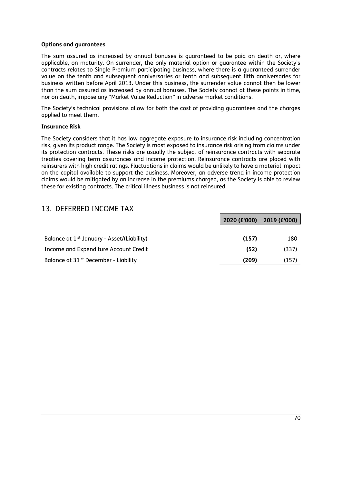#### **Options and guarantees**

The sum assured as increased by annual bonuses is guaranteed to be paid on death or, where applicable, on maturity. On surrender, the only material option or guarantee within the Society's contracts relates to Single Premium participating business, where there is a guaranteed surrender value on the tenth and subsequent anniversaries or tenth and subsequent fifth anniversaries for business written before April 2013. Under this business, the surrender value cannot then be lower than the sum assured as increased by annual bonuses. The Society cannot at these points in time, nor on death, impose any "Market Value Reduction" in adverse market conditions.

The Society's technical provisions allow for both the cost of providing guarantees and the charges applied to meet them.

#### **Insurance Risk**

The Society considers that it has low aggregate exposure to insurance risk including concentration risk, given its product range. The Society is most exposed to insurance risk arising from claims under its protection contracts. These risks are usually the subject of reinsurance contracts with separate treaties covering term assurances and income protection. Reinsurance contracts are placed with reinsurers with high credit ratings. Fluctuations in claims would be unlikely to have a material impact on the capital available to support the business. Moreover, an adverse trend in income protection claims would be mitigated by an increase in the premiums charged, as the Society is able to review these for existing contracts. The critical illness business is not reinsured.

## 13. DEFERRED INCOME TAX

|                                                        | 2020 (£'000) 2019 (£'000) |       |
|--------------------------------------------------------|---------------------------|-------|
|                                                        |                           |       |
| Balance at 1 <sup>st</sup> January - Asset/(Liability) | (157)                     | 180   |
| Income and Expenditure Account Credit                  | (52)                      | (337) |
| Balance at 31 <sup>st</sup> December - Liability       | (209)                     | (157) |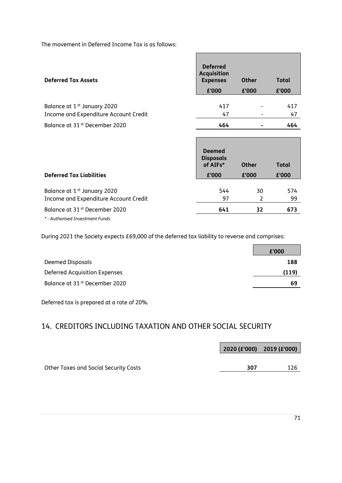The movement in Deferred Income Tax is as follows:

| <b>Deferred Tax Assets</b>                                                       | <b>Deferred</b><br><b>Acquisition</b><br><b>Expenses</b><br>£'000 | <b>Other</b><br>£'000 | <b>Total</b><br>£'000 |
|----------------------------------------------------------------------------------|-------------------------------------------------------------------|-----------------------|-----------------------|
| Balance at 1 <sup>st</sup> January 2020<br>Income and Expenditure Account Credit | 417<br>47                                                         |                       | 417<br>47             |
| Balance at 31 <sup>st</sup> December 2020                                        | 464                                                               |                       | 464                   |

Ē

Е

| <b>Deferred Tax Liabilities</b>                                                  | <b>Deemed</b><br><b>Disposals</b><br>of AIFs*<br>£'000 | <b>Other</b><br>£'000 | <b>Total</b><br>£'000 |
|----------------------------------------------------------------------------------|--------------------------------------------------------|-----------------------|-----------------------|
|                                                                                  |                                                        |                       |                       |
| Balance at 1 <sup>st</sup> January 2020<br>Income and Expenditure Account Credit | 544<br>97                                              | 30                    | 574<br>99             |
| Balance at 31 <sup>st</sup> December 2020                                        | 641                                                    | 32                    | 673                   |
|                                                                                  |                                                        |                       |                       |

*\* - Authorised Investment Funds*

During 2021 the Society expects £69,000 of the deferred tax liability to reverse and comprises:

|                                           | £'000 |
|-------------------------------------------|-------|
| Deemed Disposals                          | 188   |
| Deferred Acquisition Expenses             | (119) |
| Balance at 31 <sup>st</sup> December 2020 | 69    |

Deferred tax is prepared at a rate of 20%.

# 14. CREDITORS INCLUDING TAXATION AND OTHER SOCIAL SECURITY

|                                              | $\vert$ 2020 (£'000) 2019 (£'000) |     |
|----------------------------------------------|-----------------------------------|-----|
| <b>Other Taxes and Social Security Costs</b> | 307                               | 126 |